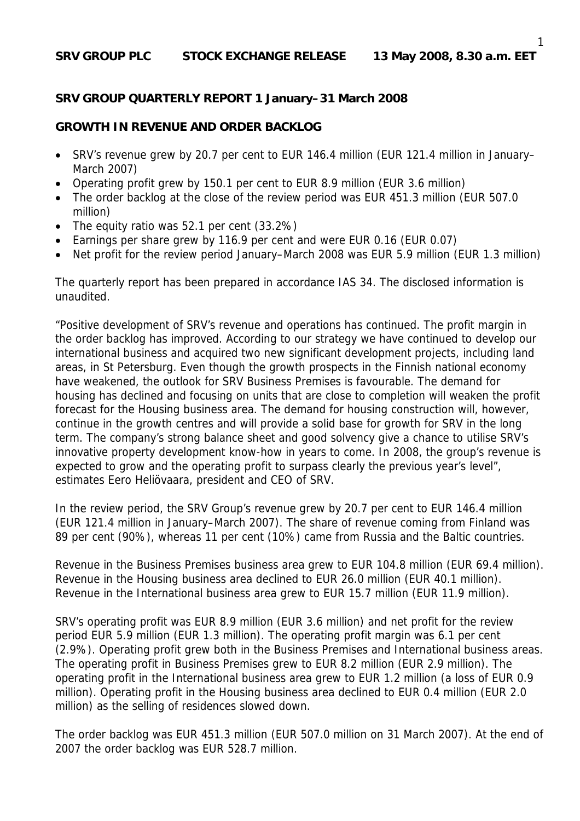#### **SRV GROUP QUARTERLY REPORT 1 January–31 March 2008**

#### **GROWTH IN REVENUE AND ORDER BACKLOG**

- SRV's revenue grew by 20.7 per cent to EUR 146.4 million (EUR 121.4 million in January– March 2007)
- Operating profit grew by 150.1 per cent to EUR 8.9 million (EUR 3.6 million)
- The order backlog at the close of the review period was EUR 451.3 million (EUR 507.0) million)
- The equity ratio was 52.1 per cent (33.2%)
- Earnings per share grew by 116.9 per cent and were EUR 0.16 (EUR 0.07)
- Net profit for the review period January–March 2008 was EUR 5.9 million (EUR 1.3 million)

The quarterly report has been prepared in accordance IAS 34. The disclosed information is unaudited.

"Positive development of SRV's revenue and operations has continued. The profit margin in the order backlog has improved. According to our strategy we have continued to develop our international business and acquired two new significant development projects, including land areas, in St Petersburg. Even though the growth prospects in the Finnish national economy have weakened, the outlook for SRV Business Premises is favourable. The demand for housing has declined and focusing on units that are close to completion will weaken the profit forecast for the Housing business area. The demand for housing construction will, however, continue in the growth centres and will provide a solid base for growth for SRV in the long term. The company's strong balance sheet and good solvency give a chance to utilise SRV's innovative property development know-how in years to come. In 2008, the group's revenue is expected to grow and the operating profit to surpass clearly the previous year's level", estimates Eero Heliövaara, president and CEO of SRV.

In the review period, the SRV Group's revenue grew by 20.7 per cent to EUR 146.4 million (EUR 121.4 million in January–March 2007). The share of revenue coming from Finland was 89 per cent (90%), whereas 11 per cent (10%) came from Russia and the Baltic countries.

Revenue in the Business Premises business area grew to EUR 104.8 million (EUR 69.4 million). Revenue in the Housing business area declined to EUR 26.0 million (EUR 40.1 million). Revenue in the International business area grew to EUR 15.7 million (EUR 11.9 million).

SRV's operating profit was EUR 8.9 million (EUR 3.6 million) and net profit for the review period EUR 5.9 million (EUR 1.3 million). The operating profit margin was 6.1 per cent (2.9%). Operating profit grew both in the Business Premises and International business areas. The operating profit in Business Premises grew to EUR 8.2 million (EUR 2.9 million). The operating profit in the International business area grew to EUR 1.2 million (a loss of EUR 0.9 million). Operating profit in the Housing business area declined to EUR 0.4 million (EUR 2.0 million) as the selling of residences slowed down.

The order backlog was EUR 451.3 million (EUR 507.0 million on 31 March 2007). At the end of 2007 the order backlog was EUR 528.7 million.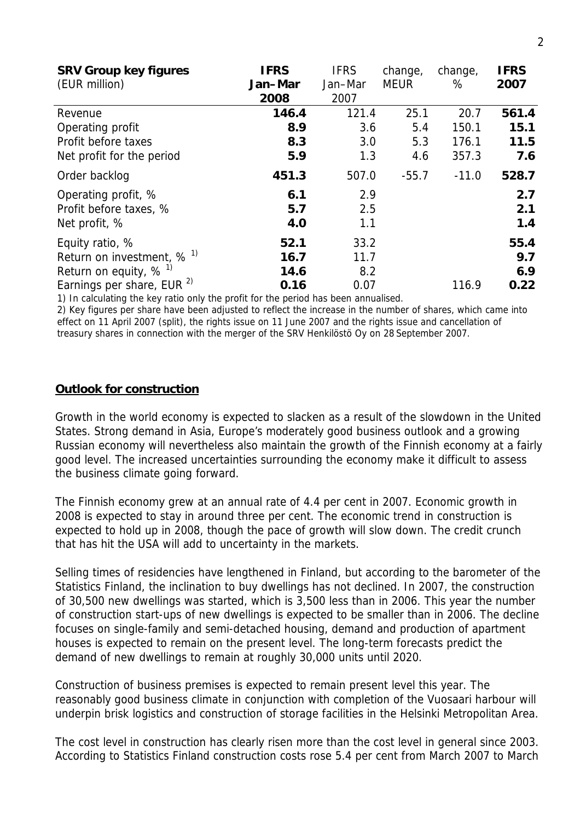| <b>SRV Group key figures</b>          | <b>IFRS</b> | <b>IFRS</b> | change,     | change, | <b>IFRS</b> |
|---------------------------------------|-------------|-------------|-------------|---------|-------------|
| (EUR million)                         | Jan-Mar     | Jan-Mar     | <b>MEUR</b> | %       | 2007        |
|                                       | 2008        | 2007        |             |         |             |
| Revenue                               | 146.4       | 121.4       | 25.1        | 20.7    | 561.4       |
| Operating profit                      | 8.9         | 3.6         | 5.4         | 150.1   | 15.1        |
| Profit before taxes                   | 8.3         | 3.0         | 5.3         | 176.1   | 11.5        |
| Net profit for the period             | 5.9         | 1.3         | 4.6         | 357.3   | 7.6         |
| Order backlog                         | 451.3       | 507.0       | $-55.7$     | $-11.0$ | 528.7       |
| Operating profit, %                   | 6.1         | 2.9         |             |         | 2.7         |
| Profit before taxes, %                | 5.7         | 2.5         |             |         | 2.1         |
| Net profit, %                         | 4.0         | 1.1         |             |         | 1.4         |
| Equity ratio, %                       | 52.1        | 33.2        |             |         | 55.4        |
| Return on investment, $% ^{1}$        | 16.7        | 11.7        |             |         | 9.7         |
| Return on equity, $%$ <sup>1)</sup>   | 14.6        | 8.2         |             |         | 6.9         |
| Earnings per share, EUR <sup>2)</sup> | 0.16        | 0.07        |             | 116.9   | 0.22        |

1) In calculating the key ratio only the profit for the period has been annualised.

2) Key figures per share have been adjusted to reflect the increase in the number of shares, which came into effect on 11 April 2007 (split), the rights issue on 11 June 2007 and the rights issue and cancellation of treasury shares in connection with the merger of the SRV Henkilöstö Oy on 28 September 2007.

#### **Outlook for construction**

Growth in the world economy is expected to slacken as a result of the slowdown in the United States. Strong demand in Asia, Europe's moderately good business outlook and a growing Russian economy will nevertheless also maintain the growth of the Finnish economy at a fairly good level. The increased uncertainties surrounding the economy make it difficult to assess the business climate going forward.

The Finnish economy grew at an annual rate of 4.4 per cent in 2007. Economic growth in 2008 is expected to stay in around three per cent. The economic trend in construction is expected to hold up in 2008, though the pace of growth will slow down. The credit crunch that has hit the USA will add to uncertainty in the markets.

Selling times of residencies have lengthened in Finland, but according to the barometer of the Statistics Finland, the inclination to buy dwellings has not declined. In 2007, the construction of 30,500 new dwellings was started, which is 3,500 less than in 2006. This year the number of construction start-ups of new dwellings is expected to be smaller than in 2006. The decline focuses on single-family and semi-detached housing, demand and production of apartment houses is expected to remain on the present level. The long-term forecasts predict the demand of new dwellings to remain at roughly 30,000 units until 2020.

Construction of business premises is expected to remain present level this year. The reasonably good business climate in conjunction with completion of the Vuosaari harbour will underpin brisk logistics and construction of storage facilities in the Helsinki Metropolitan Area.

The cost level in construction has clearly risen more than the cost level in general since 2003. According to Statistics Finland construction costs rose 5.4 per cent from March 2007 to March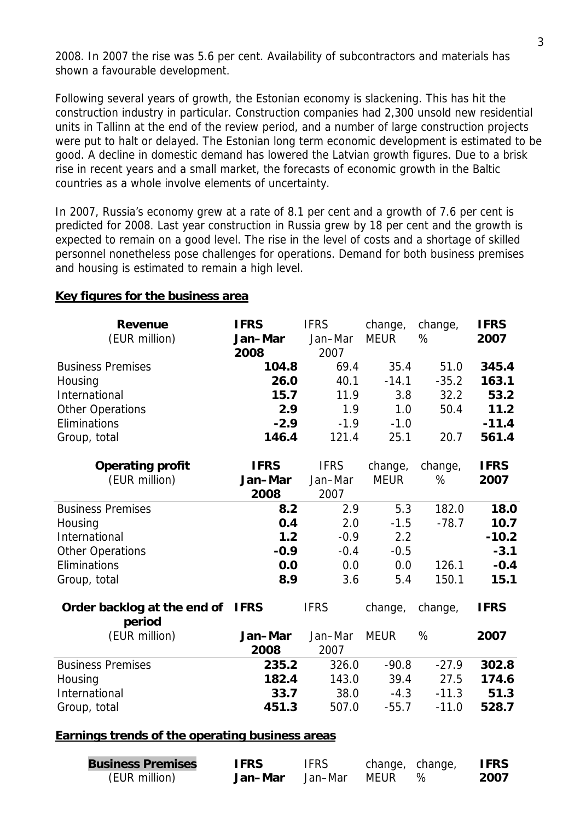2008. In 2007 the rise was 5.6 per cent. Availability of subcontractors and materials has shown a favourable development.

Following several years of growth, the Estonian economy is slackening. This has hit the construction industry in particular. Construction companies had 2,300 unsold new residential units in Tallinn at the end of the review period, and a number of large construction projects were put to halt or delayed. The Estonian long term economic development is estimated to be good. A decline in domestic demand has lowered the Latvian growth figures. Due to a brisk rise in recent years and a small market, the forecasts of economic growth in the Baltic countries as a whole involve elements of uncertainty.

In 2007, Russia's economy grew at a rate of 8.1 per cent and a growth of 7.6 per cent is predicted for 2008. Last year construction in Russia grew by 18 per cent and the growth is expected to remain on a good level. The rise in the level of costs and a shortage of skilled personnel nonetheless pose challenges for operations. Demand for both business premises and housing is estimated to remain a high level.

| (EUR million)<br><b>MEUR</b><br>%<br>2007<br>Jan-Mar<br>Jan-Mar<br>2007<br>2008<br>69.4<br><b>Business Premises</b><br>35.4<br>51.0<br>104.8<br>40.1<br>$-14.1$<br>$-35.2$<br>Housing<br>26.0<br>International<br>15.7<br>32.2<br>11.9<br>3.8<br>2.9<br>1.9<br>1.0<br>50.4<br><b>Other Operations</b><br>Eliminations<br>$-2.9$<br>$-1.9$<br>$-1.0$<br>146.4 | Group, total |       |      |      | 345.4<br>163.1<br>53.2 |
|--------------------------------------------------------------------------------------------------------------------------------------------------------------------------------------------------------------------------------------------------------------------------------------------------------------------------------------------------------------|--------------|-------|------|------|------------------------|
|                                                                                                                                                                                                                                                                                                                                                              |              |       |      |      |                        |
|                                                                                                                                                                                                                                                                                                                                                              |              |       |      |      |                        |
|                                                                                                                                                                                                                                                                                                                                                              |              |       |      |      |                        |
|                                                                                                                                                                                                                                                                                                                                                              |              |       |      |      |                        |
|                                                                                                                                                                                                                                                                                                                                                              |              |       |      |      |                        |
|                                                                                                                                                                                                                                                                                                                                                              |              |       |      |      | 11.2                   |
|                                                                                                                                                                                                                                                                                                                                                              |              |       |      |      | $-11.4$                |
|                                                                                                                                                                                                                                                                                                                                                              |              | 121.4 | 25.1 | 20.7 | 561.4                  |
| <b>IFRS</b><br><b>IFRS</b><br><b>IFRS</b><br><b>Operating profit</b><br>change,<br>change,                                                                                                                                                                                                                                                                   |              |       |      |      |                        |
| (EUR million)<br><b>MEUR</b><br>%<br>Jan-Mar<br>Jan-Mar<br>2007                                                                                                                                                                                                                                                                                              |              |       |      |      |                        |
| 2008<br>2007                                                                                                                                                                                                                                                                                                                                                 |              |       |      |      |                        |
| 5.3<br><b>Business Premises</b><br>8.2<br>2.9<br>182.0                                                                                                                                                                                                                                                                                                       |              |       |      |      | 18.0                   |
| 0.4<br>2.0<br>$-78.7$<br>Housing<br>$-1.5$                                                                                                                                                                                                                                                                                                                   |              |       |      |      | 10.7                   |
| International<br>1.2<br>2.2<br>$-0.9$                                                                                                                                                                                                                                                                                                                        |              |       |      |      | $-10.2$                |
| <b>Other Operations</b><br>$-0.9$<br>$-0.4$<br>$-0.5$                                                                                                                                                                                                                                                                                                        |              |       |      |      | $-3.1$                 |
| Eliminations<br>0.0<br>126.1<br>0.0<br>0.0                                                                                                                                                                                                                                                                                                                   |              |       |      |      | $-0.4$                 |
| 150.1<br>Group, total<br>8.9<br>3.6<br>5.4                                                                                                                                                                                                                                                                                                                   |              |       |      |      | 15.1                   |
| <b>IFRS</b><br>Order backlog at the end of<br><b>IFRS</b><br><b>IFRS</b><br>change,<br>change,<br>period                                                                                                                                                                                                                                                     |              |       |      |      |                        |
| (EUR million)<br>Jan-Mar<br>Jan-Mar<br>%<br><b>MEUR</b><br>2007                                                                                                                                                                                                                                                                                              |              |       |      |      |                        |
| 2008<br>2007                                                                                                                                                                                                                                                                                                                                                 |              |       |      |      |                        |
| <b>Business Premises</b><br>$-90.8$<br>$-27.9$<br>235.2<br>326.0                                                                                                                                                                                                                                                                                             |              |       |      |      | 302.8                  |
| 182.4<br>143.0<br>39.4<br>27.5<br>Housing                                                                                                                                                                                                                                                                                                                    |              |       |      |      | 174.6                  |
| International<br>33.7<br>38.0<br>$-4.3$<br>$-11.3$                                                                                                                                                                                                                                                                                                           |              |       |      |      | 51.3                   |
| 507.0<br>451.3<br>$-55.7$<br>$-11.0$<br>Group, total                                                                                                                                                                                                                                                                                                         |              |       |      |      | 528.7                  |

#### **Key figures for the business area**

#### **Earnings trends of the operating business areas**

| <b>Business Premises</b> | <b>IFRS</b> | <b>IFRS</b> | change, change, | <b>IFRS</b> |
|--------------------------|-------------|-------------|-----------------|-------------|
| (EUR million)            | Jan-Mar     | Jan–Mar     | MFUR            | 2007        |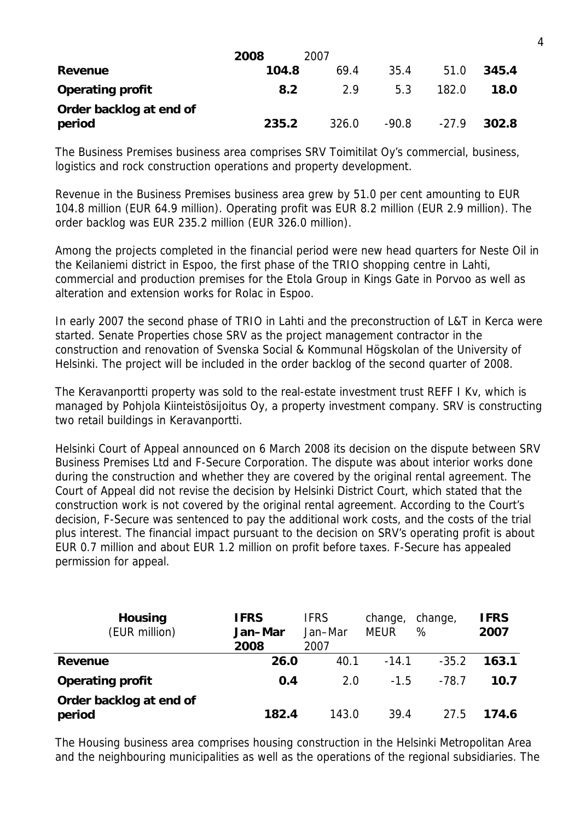|                                   | 2008  | 2007  |         |         |       |
|-----------------------------------|-------|-------|---------|---------|-------|
| Revenue                           | 104.8 | 69.4  | 35.4    | 51.0    | 345.4 |
| <b>Operating profit</b>           | 8.2   | 2.9   | 5.3     | 182.0   | 18.0  |
| Order backlog at end of<br>period | 235.2 | 326.0 | $-90.8$ | $-27.9$ | 302.8 |

The Business Premises business area comprises SRV Toimitilat Oy's commercial, business, logistics and rock construction operations and property development.

Revenue in the Business Premises business area grew by 51.0 per cent amounting to EUR 104.8 million (EUR 64.9 million). Operating profit was EUR 8.2 million (EUR 2.9 million). The order backlog was EUR 235.2 million (EUR 326.0 million).

Among the projects completed in the financial period were new head quarters for Neste Oil in the Keilaniemi district in Espoo, the first phase of the TRIO shopping centre in Lahti, commercial and production premises for the Etola Group in Kings Gate in Porvoo as well as alteration and extension works for Rolac in Espoo.

In early 2007 the second phase of TRIO in Lahti and the preconstruction of L&T in Kerca were started. Senate Properties chose SRV as the project management contractor in the construction and renovation of Svenska Social & Kommunal Högskolan of the University of Helsinki. The project will be included in the order backlog of the second quarter of 2008.

The Keravanportti property was sold to the real-estate investment trust REFF I Kv, which is managed by Pohjola Kiinteistösijoitus Oy, a property investment company. SRV is constructing two retail buildings in Keravanportti.

Helsinki Court of Appeal announced on 6 March 2008 its decision on the dispute between SRV Business Premises Ltd and F-Secure Corporation. The dispute was about interior works done during the construction and whether they are covered by the original rental agreement. The Court of Appeal did not revise the decision by Helsinki District Court, which stated that the construction work is not covered by the original rental agreement. According to the Court's decision, F-Secure was sentenced to pay the additional work costs, and the costs of the trial plus interest. The financial impact pursuant to the decision on SRV's operating profit is about EUR 0.7 million and about EUR 1.2 million on profit before taxes. F-Secure has appealed permission for appeal.

| <b>Housing</b><br>(EUR million)   | <b>IFRS</b><br>Jan-Mar<br>2008 | <b>IFRS</b><br>Jan-Mar<br>2007 | change,<br><b>MEUR</b> | change,<br>% | <b>IFRS</b><br>2007 |
|-----------------------------------|--------------------------------|--------------------------------|------------------------|--------------|---------------------|
| Revenue                           | 26.0                           | 40.1                           | $-14.1$                | $-35.2$      | 163.1               |
| <b>Operating profit</b>           | 0.4                            | 2.0                            | $-1.5$                 | $-78.7$      | 10.7                |
| Order backlog at end of<br>period | 182.4                          | 143.0                          | 39.4                   | 27.5         | 174.6               |

The Housing business area comprises housing construction in the Helsinki Metropolitan Area and the neighbouring municipalities as well as the operations of the regional subsidiaries. The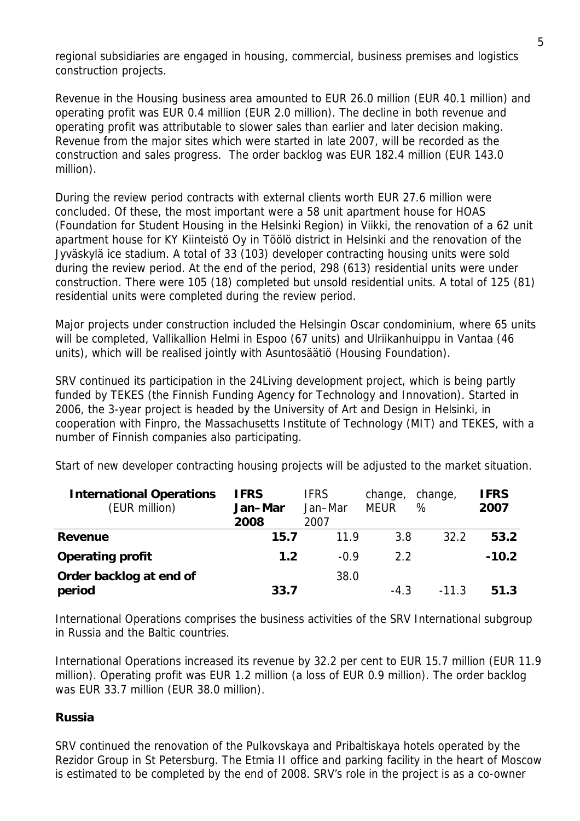regional subsidiaries are engaged in housing, commercial, business premises and logistics construction projects.

Revenue in the Housing business area amounted to EUR 26.0 million (EUR 40.1 million) and operating profit was EUR 0.4 million (EUR 2.0 million). The decline in both revenue and operating profit was attributable to slower sales than earlier and later decision making. Revenue from the major sites which were started in late 2007, will be recorded as the construction and sales progress. The order backlog was EUR 182.4 million (EUR 143.0 million).

During the review period contracts with external clients worth EUR 27.6 million were concluded. Of these, the most important were a 58 unit apartment house for HOAS (Foundation for Student Housing in the Helsinki Region) in Viikki, the renovation of a 62 unit apartment house for KY Kiinteistö Oy in Töölö district in Helsinki and the renovation of the Jyväskylä ice stadium. A total of 33 (103) developer contracting housing units were sold during the review period. At the end of the period, 298 (613) residential units were under construction. There were 105 (18) completed but unsold residential units. A total of 125 (81) residential units were completed during the review period.

Major projects under construction included the Helsingin Oscar condominium, where 65 units will be completed, Vallikallion Helmi in Espoo (67 units) and Ulriikanhuippu in Vantaa (46 units), which will be realised jointly with Asuntosäätiö (Housing Foundation).

SRV continued its participation in the 24Living development project, which is being partly funded by TEKES (the Finnish Funding Agency for Technology and Innovation). Started in 2006, the 3-year project is headed by the University of Art and Design in Helsinki, in cooperation with Finpro, the Massachusetts Institute of Technology (MIT) and TEKES, with a number of Finnish companies also participating.

| <b>International Operations</b><br>(EUR million) | <b>IFRS</b><br>Jan-Mar<br>2008 | <b>IFRS</b><br>Jan–Mar<br>2007 | change, change,<br><b>MFUR</b> | %    | <b>IFRS</b><br>2007 |
|--------------------------------------------------|--------------------------------|--------------------------------|--------------------------------|------|---------------------|
| Revenue                                          | 15.7                           | 11 9                           | 3 R                            | 32.2 | 53.2                |

**Operating profit 1.2** -0.9 2.2 **-10.2**

Start of new developer contracting housing projects will be adjusted to the market situation.

International Operations comprises the business activities of the SRV International subgroup in Russia and the Baltic countries.

38.0

-4.3 -11.3 **51.3**

International Operations increased its revenue by 32.2 per cent to EUR 15.7 million (EUR 11.9 million). Operating profit was EUR 1.2 million (a loss of EUR 0.9 million). The order backlog was EUR 33.7 million (EUR 38.0 million).

## **Russia**

**Order backlog at end of** 

**period 33.7**

SRV continued the renovation of the Pulkovskaya and Pribaltiskaya hotels operated by the Rezidor Group in St Petersburg. The Etmia II office and parking facility in the heart of Moscow is estimated to be completed by the end of 2008. SRV's role in the project is as a co-owner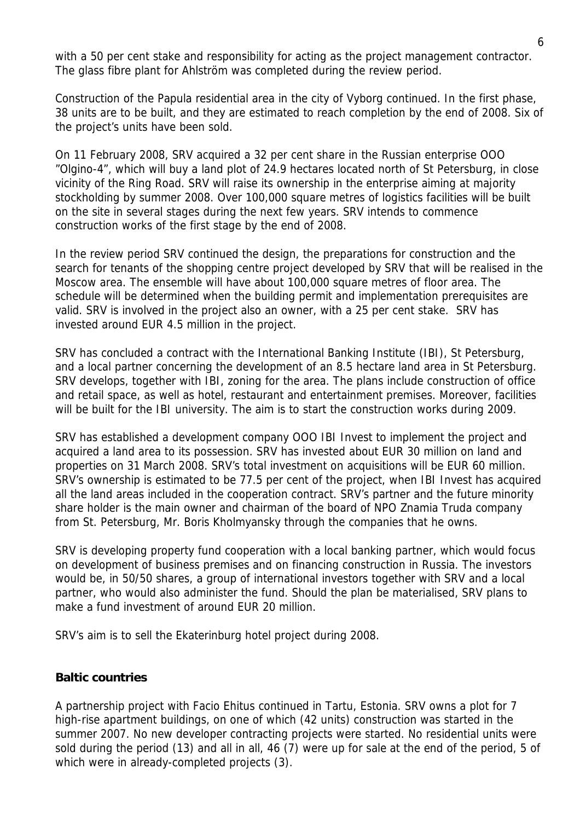with a 50 per cent stake and responsibility for acting as the project management contractor. The glass fibre plant for Ahlström was completed during the review period.

Construction of the Papula residential area in the city of Vyborg continued. In the first phase, 38 units are to be built, and they are estimated to reach completion by the end of 2008. Six of the project's units have been sold.

On 11 February 2008, SRV acquired a 32 per cent share in the Russian enterprise OOO "Olgino-4", which will buy a land plot of 24.9 hectares located north of St Petersburg, in close vicinity of the Ring Road. SRV will raise its ownership in the enterprise aiming at majority stockholding by summer 2008. Over 100,000 square metres of logistics facilities will be built on the site in several stages during the next few years. SRV intends to commence construction works of the first stage by the end of 2008.

In the review period SRV continued the design, the preparations for construction and the search for tenants of the shopping centre project developed by SRV that will be realised in the Moscow area. The ensemble will have about 100,000 square metres of floor area. The schedule will be determined when the building permit and implementation prerequisites are valid. SRV is involved in the project also an owner, with a 25 per cent stake. SRV has invested around EUR 4.5 million in the project.

SRV has concluded a contract with the International Banking Institute (IBI), St Petersburg, and a local partner concerning the development of an 8.5 hectare land area in St Petersburg. SRV develops, together with IBI, zoning for the area. The plans include construction of office and retail space, as well as hotel, restaurant and entertainment premises. Moreover, facilities will be built for the IBI university. The aim is to start the construction works during 2009.

SRV has established a development company OOO IBI Invest to implement the project and acquired a land area to its possession. SRV has invested about EUR 30 million on land and properties on 31 March 2008. SRV's total investment on acquisitions will be EUR 60 million. SRV's ownership is estimated to be 77.5 per cent of the project, when IBI Invest has acquired all the land areas included in the cooperation contract. SRV's partner and the future minority share holder is the main owner and chairman of the board of NPO Znamia Truda company from St. Petersburg, Mr. Boris Kholmyansky through the companies that he owns.

SRV is developing property fund cooperation with a local banking partner, which would focus on development of business premises and on financing construction in Russia. The investors would be, in 50/50 shares, a group of international investors together with SRV and a local partner, who would also administer the fund. Should the plan be materialised, SRV plans to make a fund investment of around EUR 20 million.

SRV's aim is to sell the Ekaterinburg hotel project during 2008.

#### **Baltic countries**

A partnership project with Facio Ehitus continued in Tartu, Estonia. SRV owns a plot for 7 high-rise apartment buildings, on one of which (42 units) construction was started in the summer 2007. No new developer contracting projects were started. No residential units were sold during the period (13) and all in all, 46 (7) were up for sale at the end of the period, 5 of which were in already-completed projects (3).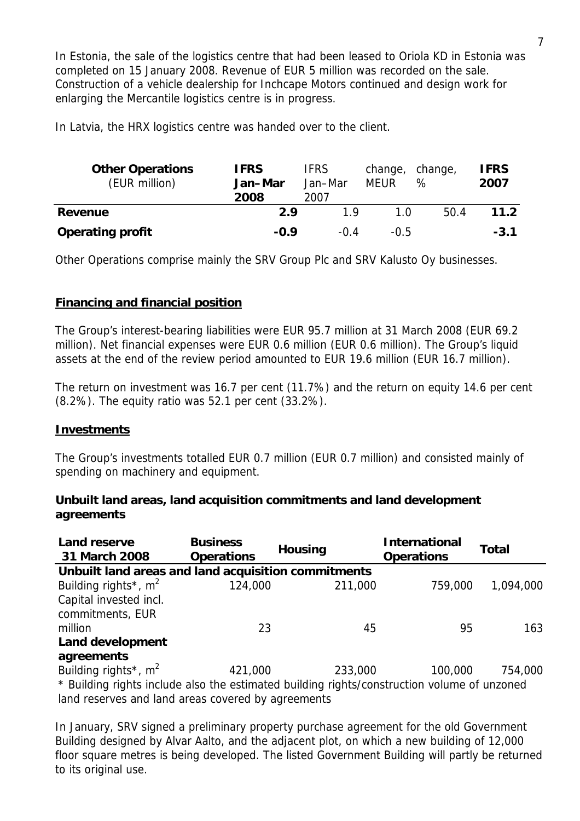In Estonia, the sale of the logistics centre that had been leased to Oriola KD in Estonia was completed on 15 January 2008. Revenue of EUR 5 million was recorded on the sale. Construction of a vehicle dealership for Inchcape Motors continued and design work for enlarging the Mercantile logistics centre is in progress.

In Latvia, the HRX logistics centre was handed over to the client.

| <b>Other Operations</b><br>(EUR million) | <b>IFRS</b><br>Jan-Mar<br>2008 | <b>IFRS</b><br>Jan-Mar<br>2007 | change,<br><b>MEUR</b> | change,<br>℅ | <b>IFRS</b><br>2007 |
|------------------------------------------|--------------------------------|--------------------------------|------------------------|--------------|---------------------|
| Revenue                                  | 29                             | 1 Q                            | 1 በ                    | 50.4         | 11.2                |
| <b>Operating profit</b>                  | $-0.9$                         | -04                            | $-0.5$                 |              | $-3.1$              |

Other Operations comprise mainly the SRV Group Plc and SRV Kalusto Oy businesses.

## **Financing and financial position**

The Group's interest-bearing liabilities were EUR 95.7 million at 31 March 2008 (EUR 69.2 million). Net financial expenses were EUR 0.6 million (EUR 0.6 million). The Group's liquid assets at the end of the review period amounted to EUR 19.6 million (EUR 16.7 million).

The return on investment was 16.7 per cent (11.7%) and the return on equity 14.6 per cent (8.2%). The equity ratio was 52.1 per cent (33.2%).

#### **Investments**

The Group's investments totalled EUR 0.7 million (EUR 0.7 million) and consisted mainly of spending on machinery and equipment.

#### **Unbuilt land areas, land acquisition commitments and land development agreements**

| <b>Land reserve</b><br>31 March 2008                                                        | <b>Business</b><br><b>Operations</b> | <b>Housing</b> | <b>International</b><br><b>Operations</b> | Total     |
|---------------------------------------------------------------------------------------------|--------------------------------------|----------------|-------------------------------------------|-----------|
| Unbuilt land areas and land acquisition commitments                                         |                                      |                |                                           |           |
| Building rights <sup>*</sup> , $m^2$                                                        | 124,000                              | 211,000        | 759,000                                   | 1,094,000 |
| Capital invested incl.                                                                      |                                      |                |                                           |           |
| commitments, EUR                                                                            |                                      |                |                                           |           |
| million                                                                                     | 23                                   | 45             | 95                                        | 163       |
| <b>Land development</b>                                                                     |                                      |                |                                           |           |
| agreements                                                                                  |                                      |                |                                           |           |
| Building rights <sup>*</sup> , $m^2$                                                        | 421,000                              | 233,000        | 100,000                                   | 754,000   |
| * Building rights include also the estimated building rights/construction volume of unzoned |                                      |                |                                           |           |

land reserves and land areas covered by agreements

In January, SRV signed a preliminary property purchase agreement for the old Government Building designed by Alvar Aalto, and the adjacent plot, on which a new building of 12,000 floor square metres is being developed. The listed Government Building will partly be returned to its original use.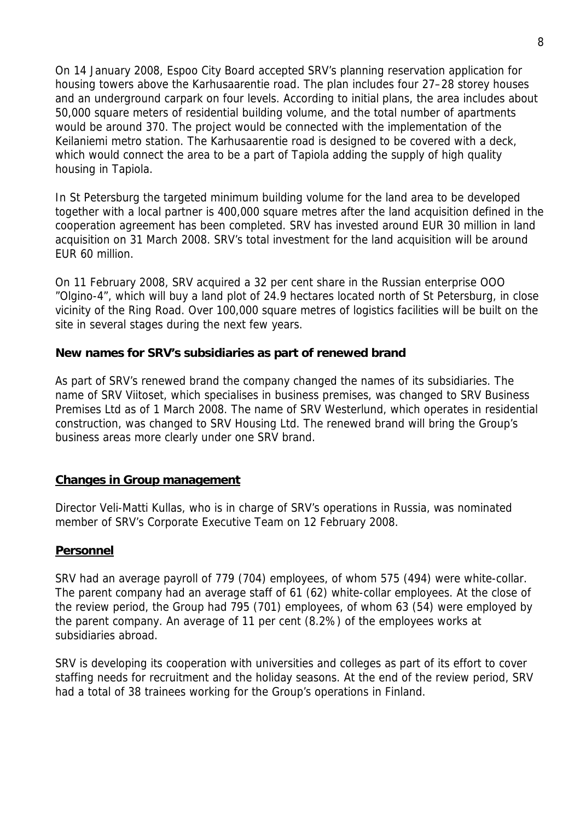On 14 January 2008, Espoo City Board accepted SRV's planning reservation application for housing towers above the Karhusaarentie road. The plan includes four 27–28 storey houses and an underground carpark on four levels. According to initial plans, the area includes about 50,000 square meters of residential building volume, and the total number of apartments would be around 370. The project would be connected with the implementation of the Keilaniemi metro station. The Karhusaarentie road is designed to be covered with a deck, which would connect the area to be a part of Tapiola adding the supply of high quality housing in Tapiola.

In St Petersburg the targeted minimum building volume for the land area to be developed together with a local partner is 400,000 square metres after the land acquisition defined in the cooperation agreement has been completed. SRV has invested around EUR 30 million in land acquisition on 31 March 2008. SRV's total investment for the land acquisition will be around EUR 60 million.

On 11 February 2008, SRV acquired a 32 per cent share in the Russian enterprise OOO "Olgino-4", which will buy a land plot of 24.9 hectares located north of St Petersburg, in close vicinity of the Ring Road. Over 100,000 square metres of logistics facilities will be built on the site in several stages during the next few years.

#### **New names for SRV's subsidiaries as part of renewed brand**

As part of SRV's renewed brand the company changed the names of its subsidiaries. The name of SRV Viitoset, which specialises in business premises, was changed to SRV Business Premises Ltd as of 1 March 2008. The name of SRV Westerlund, which operates in residential construction, was changed to SRV Housing Ltd. The renewed brand will bring the Group's business areas more clearly under one SRV brand.

#### **Changes in Group management**

Director Veli-Matti Kullas, who is in charge of SRV's operations in Russia, was nominated member of SRV's Corporate Executive Team on 12 February 2008.

#### **Personnel**

SRV had an average payroll of 779 (704) employees, of whom 575 (494) were white-collar. The parent company had an average staff of 61 (62) white-collar employees. At the close of the review period, the Group had 795 (701) employees, of whom 63 (54) were employed by the parent company. An average of 11 per cent (8.2%) of the employees works at subsidiaries abroad.

SRV is developing its cooperation with universities and colleges as part of its effort to cover staffing needs for recruitment and the holiday seasons. At the end of the review period, SRV had a total of 38 trainees working for the Group's operations in Finland.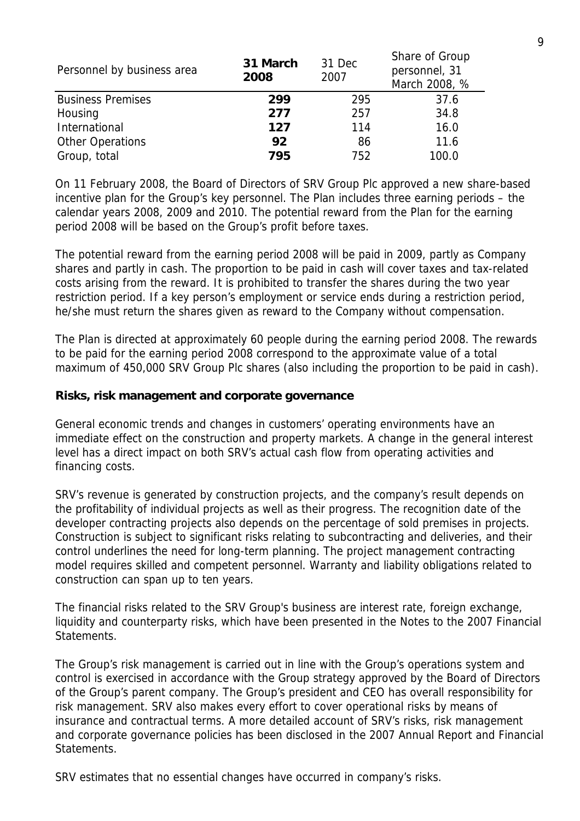| Personnel by business area | 31 March<br>2008 | 31 Dec<br>2007 | Share of Group<br>personnel, 31<br>March 2008, % |  |
|----------------------------|------------------|----------------|--------------------------------------------------|--|
| <b>Business Premises</b>   | 299              | 295            | 37.6                                             |  |
| Housing                    | 277              | 257            | 34.8                                             |  |
| International              | 127              | 114            | 16.0                                             |  |
| <b>Other Operations</b>    | 92               | 86             | 11.6                                             |  |
| Group, total               | 795              | 752            | 100.0                                            |  |

On 11 February 2008, the Board of Directors of SRV Group Plc approved a new share-based incentive plan for the Group's key personnel. The Plan includes three earning periods – the calendar years 2008, 2009 and 2010. The potential reward from the Plan for the earning period 2008 will be based on the Group's profit before taxes.

The potential reward from the earning period 2008 will be paid in 2009, partly as Company shares and partly in cash. The proportion to be paid in cash will cover taxes and tax-related costs arising from the reward. It is prohibited to transfer the shares during the two year restriction period. If a key person's employment or service ends during a restriction period, he/she must return the shares given as reward to the Company without compensation.

The Plan is directed at approximately 60 people during the earning period 2008. The rewards to be paid for the earning period 2008 correspond to the approximate value of a total maximum of 450,000 SRV Group Plc shares (also including the proportion to be paid in cash).

#### **Risks, risk management and corporate governance**

General economic trends and changes in customers' operating environments have an immediate effect on the construction and property markets. A change in the general interest level has a direct impact on both SRV's actual cash flow from operating activities and financing costs.

SRV's revenue is generated by construction projects, and the company's result depends on the profitability of individual projects as well as their progress. The recognition date of the developer contracting projects also depends on the percentage of sold premises in projects. Construction is subject to significant risks relating to subcontracting and deliveries, and their control underlines the need for long-term planning. The project management contracting model requires skilled and competent personnel. Warranty and liability obligations related to construction can span up to ten years.

The financial risks related to the SRV Group's business are interest rate, foreign exchange, liquidity and counterparty risks, which have been presented in the Notes to the 2007 Financial Statements.

The Group's risk management is carried out in line with the Group's operations system and control is exercised in accordance with the Group strategy approved by the Board of Directors of the Group's parent company. The Group's president and CEO has overall responsibility for risk management. SRV also makes every effort to cover operational risks by means of insurance and contractual terms. A more detailed account of SRV's risks, risk management and corporate governance policies has been disclosed in the 2007 Annual Report and Financial Statements.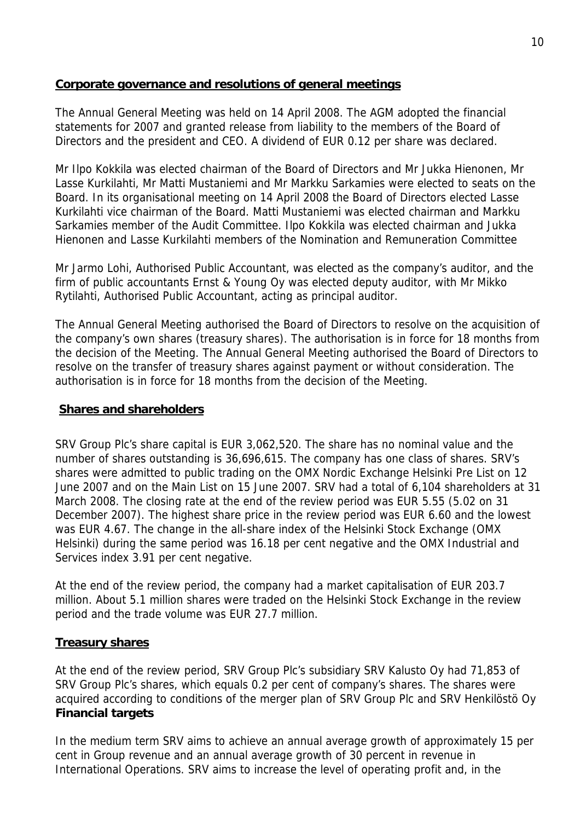## **Corporate governance and resolutions of general meetings**

The Annual General Meeting was held on 14 April 2008. The AGM adopted the financial statements for 2007 and granted release from liability to the members of the Board of Directors and the president and CEO. A dividend of EUR 0.12 per share was declared.

Mr Ilpo Kokkila was elected chairman of the Board of Directors and Mr Jukka Hienonen, Mr Lasse Kurkilahti, Mr Matti Mustaniemi and Mr Markku Sarkamies were elected to seats on the Board. In its organisational meeting on 14 April 2008 the Board of Directors elected Lasse Kurkilahti vice chairman of the Board. Matti Mustaniemi was elected chairman and Markku Sarkamies member of the Audit Committee. Ilpo Kokkila was elected chairman and Jukka Hienonen and Lasse Kurkilahti members of the Nomination and Remuneration Committee

Mr Jarmo Lohi, Authorised Public Accountant, was elected as the company's auditor, and the firm of public accountants Ernst & Young Oy was elected deputy auditor, with Mr Mikko Rytilahti, Authorised Public Accountant, acting as principal auditor.

The Annual General Meeting authorised the Board of Directors to resolve on the acquisition of the company's own shares (treasury shares). The authorisation is in force for 18 months from the decision of the Meeting. The Annual General Meeting authorised the Board of Directors to resolve on the transfer of treasury shares against payment or without consideration. The authorisation is in force for 18 months from the decision of the Meeting.

#### **Shares and shareholders**

SRV Group Plc's share capital is EUR 3,062,520. The share has no nominal value and the number of shares outstanding is 36,696,615. The company has one class of shares. SRV's shares were admitted to public trading on the OMX Nordic Exchange Helsinki Pre List on 12 June 2007 and on the Main List on 15 June 2007. SRV had a total of 6,104 shareholders at 31 March 2008. The closing rate at the end of the review period was EUR 5.55 (5.02 on 31 December 2007). The highest share price in the review period was EUR 6.60 and the lowest was EUR 4.67. The change in the all-share index of the Helsinki Stock Exchange (OMX Helsinki) during the same period was 16.18 per cent negative and the OMX Industrial and Services index 3.91 per cent negative.

At the end of the review period, the company had a market capitalisation of EUR 203.7 million. About 5.1 million shares were traded on the Helsinki Stock Exchange in the review period and the trade volume was EUR 27.7 million.

## **Treasury shares**

At the end of the review period, SRV Group Plc's subsidiary SRV Kalusto Oy had 71,853 of SRV Group Plc's shares, which equals 0.2 per cent of company's shares. The shares were acquired according to conditions of the merger plan of SRV Group Plc and SRV Henkilöstö Oy **Financial targets** 

In the medium term SRV aims to achieve an annual average growth of approximately 15 per cent in Group revenue and an annual average growth of 30 percent in revenue in International Operations. SRV aims to increase the level of operating profit and, in the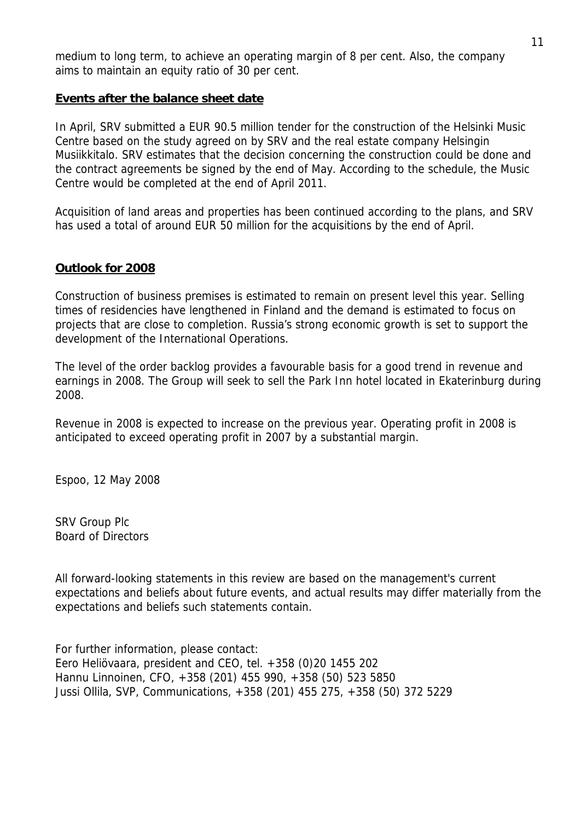medium to long term, to achieve an operating margin of 8 per cent. Also, the company aims to maintain an equity ratio of 30 per cent.

#### **Events after the balance sheet date**

In April, SRV submitted a EUR 90.5 million tender for the construction of the Helsinki Music Centre based on the study agreed on by SRV and the real estate company Helsingin Musiikkitalo. SRV estimates that the decision concerning the construction could be done and the contract agreements be signed by the end of May. According to the schedule, the Music Centre would be completed at the end of April 2011.

Acquisition of land areas and properties has been continued according to the plans, and SRV has used a total of around EUR 50 million for the acquisitions by the end of April.

#### **Outlook for 2008**

Construction of business premises is estimated to remain on present level this year. Selling times of residencies have lengthened in Finland and the demand is estimated to focus on projects that are close to completion. Russia's strong economic growth is set to support the development of the International Operations.

The level of the order backlog provides a favourable basis for a good trend in revenue and earnings in 2008. The Group will seek to sell the Park Inn hotel located in Ekaterinburg during 2008.

Revenue in 2008 is expected to increase on the previous year. Operating profit in 2008 is anticipated to exceed operating profit in 2007 by a substantial margin.

Espoo, 12 May 2008

SRV Group Plc Board of Directors

All forward-looking statements in this review are based on the management's current expectations and beliefs about future events, and actual results may differ materially from the expectations and beliefs such statements contain.

For further information, please contact: Eero Heliövaara, president and CEO, tel. +358 (0)20 1455 202 Hannu Linnoinen, CFO, +358 (201) 455 990, +358 (50) 523 5850 Jussi Ollila, SVP, Communications, +358 (201) 455 275, +358 (50) 372 5229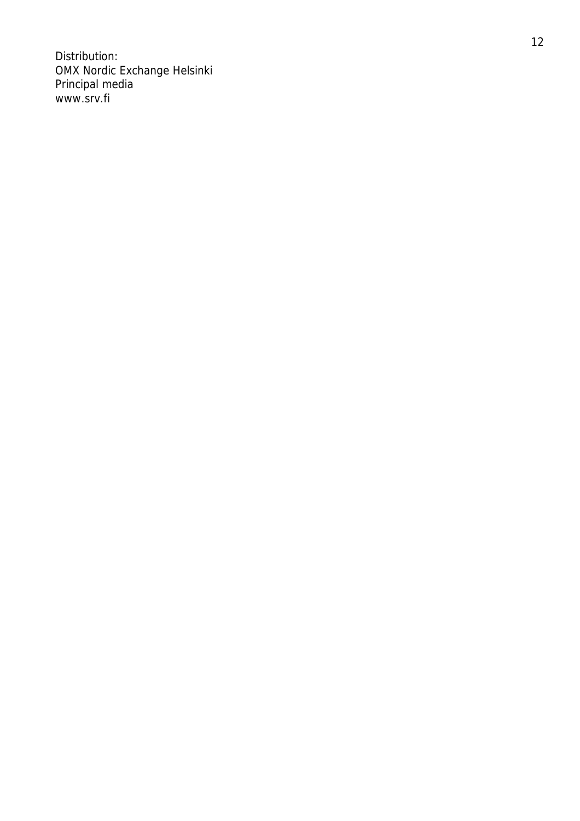Distribution: OMX Nordic Exchange Helsinki Principal media www.srv.fi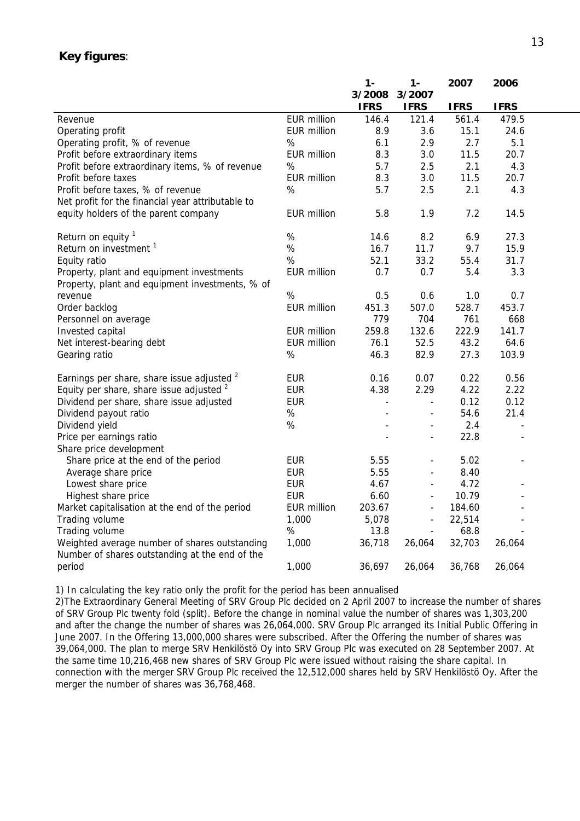#### **Key figures**:

|                                                       |                    | $1 -$          | $1 -$                    | 2007        | 2006        |  |
|-------------------------------------------------------|--------------------|----------------|--------------------------|-------------|-------------|--|
|                                                       |                    | 3/2008         | 3/2007                   |             |             |  |
|                                                       |                    | <b>IFRS</b>    | <b>IFRS</b>              | <b>IFRS</b> | <b>IFRS</b> |  |
| Revenue                                               | <b>EUR million</b> | 146.4          | 121.4                    | 561.4       | 479.5       |  |
| Operating profit                                      | <b>EUR million</b> | 8.9            | 3.6                      | 15.1        | 24.6        |  |
| Operating profit, % of revenue                        | %                  | 6.1            | 2.9                      | 2.7         | 5.1         |  |
| Profit before extraordinary items                     | <b>EUR million</b> | 8.3            | 3.0                      | 11.5        | 20.7        |  |
| Profit before extraordinary items, % of revenue       | $\%$               | 5.7            | 2.5                      | 2.1         | 4.3         |  |
| Profit before taxes                                   | <b>EUR million</b> | 8.3            | 3.0                      | 11.5        | 20.7        |  |
| Profit before taxes, % of revenue                     | $\%$               | 5.7            | 2.5                      | 2.1         | 4.3         |  |
| Net profit for the financial year attributable to     |                    |                |                          |             |             |  |
| equity holders of the parent company                  | <b>EUR million</b> | 5.8            | 1.9                      | 7.2         | 14.5        |  |
| Return on equity 1                                    | $\%$               | 14.6           | 8.2                      | 6.9         | 27.3        |  |
| Return on investment <sup>1</sup>                     | $\%$               | 16.7           | 11.7                     | 9.7         | 15.9        |  |
| Equity ratio                                          | %                  | 52.1           | 33.2                     | 55.4        | 31.7        |  |
| Property, plant and equipment investments             | <b>EUR million</b> | 0.7            | 0.7                      | 5.4         | 3.3         |  |
| Property, plant and equipment investments, % of       |                    |                |                          |             |             |  |
| revenue                                               | $\%$               | 0.5            | 0.6                      | 1.0         | 0.7         |  |
| Order backlog                                         | <b>EUR million</b> | 451.3          | 507.0                    | 528.7       | 453.7       |  |
| Personnel on average                                  |                    | 779            | 704                      | 761         | 668         |  |
| Invested capital                                      | <b>EUR million</b> | 259.8          | 132.6                    | 222.9       | 141.7       |  |
| Net interest-bearing debt                             | <b>EUR million</b> | 76.1           | 52.5                     | 43.2        | 64.6        |  |
| Gearing ratio                                         | $\%$               | 46.3           | 82.9                     | 27.3        | 103.9       |  |
| Earnings per share, share issue adjusted <sup>2</sup> | <b>EUR</b>         | 0.16           | 0.07                     | 0.22        | 0.56        |  |
| Equity per share, share issue adjusted <sup>2</sup>   | <b>EUR</b>         | 4.38           | 2.29                     | 4.22        | 2.22        |  |
| Dividend per share, share issue adjusted              | <b>EUR</b>         | $\overline{a}$ | $\blacksquare$           | 0.12        | 0.12        |  |
| Dividend payout ratio                                 | %                  |                | $\overline{\phantom{a}}$ | 54.6        | 21.4        |  |
| Dividend yield                                        | %                  |                | $\overline{\phantom{a}}$ | 2.4         |             |  |
| Price per earnings ratio                              |                    |                | $\blacksquare$           | 22.8        |             |  |
| Share price development                               |                    |                |                          |             |             |  |
| Share price at the end of the period                  | <b>EUR</b>         | 5.55           | $\overline{\phantom{a}}$ | 5.02        |             |  |
| Average share price                                   | <b>EUR</b>         | 5.55           | $\overline{\phantom{a}}$ | 8.40        |             |  |
| Lowest share price                                    | <b>EUR</b>         | 4.67           | $\blacksquare$           | 4.72        |             |  |
| Highest share price                                   | <b>EUR</b>         | 6.60           | $\overline{\phantom{a}}$ | 10.79       |             |  |
| Market capitalisation at the end of the period        | <b>EUR million</b> | 203.67         | $\blacksquare$           | 184.60      |             |  |
| Trading volume                                        | 1,000              | 5,078          | $\overline{\phantom{a}}$ | 22,514      |             |  |
| Trading volume                                        | %                  | 13.8           | $\overline{\phantom{a}}$ | 68.8        |             |  |
| Weighted average number of shares outstanding         | 1,000              | 36,718         | 26,064                   | 32,703      | 26,064      |  |
| Number of shares outstanding at the end of the        |                    |                |                          |             |             |  |
| period                                                | 1,000              |                |                          |             | 26,064      |  |
|                                                       |                    | 36,697         | 26,064                   | 36,768      |             |  |

1) In calculating the key ratio only the profit for the period has been annualised

2)The Extraordinary General Meeting of SRV Group Plc decided on 2 April 2007 to increase the number of shares of SRV Group Plc twenty fold (split). Before the change in nominal value the number of shares was 1,303,200 and after the change the number of shares was 26,064,000. SRV Group Plc arranged its Initial Public Offering in June 2007. In the Offering 13,000,000 shares were subscribed. After the Offering the number of shares was 39,064,000. The plan to merge SRV Henkilöstö Oy into SRV Group Plc was executed on 28 September 2007. At the same time 10,216,468 new shares of SRV Group Plc were issued without raising the share capital. In connection with the merger SRV Group Plc received the 12,512,000 shares held by SRV Henkilöstö Oy. After the merger the number of shares was 36,768,468.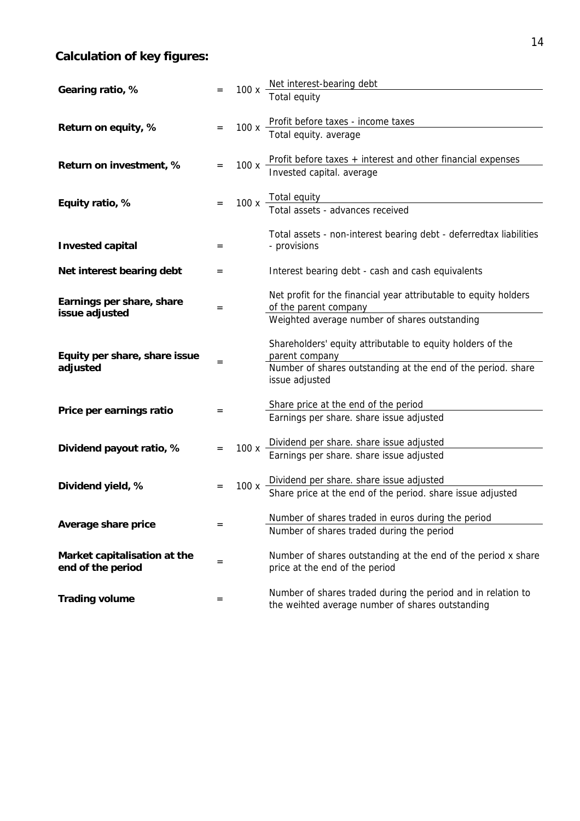# **Calculation of key figures:**

| Gearing ratio, %                                  |     | 100x | Net interest-bearing debt                                                                                        |
|---------------------------------------------------|-----|------|------------------------------------------------------------------------------------------------------------------|
|                                                   |     |      | <b>Total equity</b>                                                                                              |
| Return on equity, %                               |     | 100x | Profit before taxes - income taxes<br>Total equity. average                                                      |
| Return on investment, %                           |     | 100x | Profit before taxes + interest and other financial expenses<br>Invested capital. average                         |
| Equity ratio, %                                   |     |      | 100 x Total equity<br>Total assets - advances received                                                           |
|                                                   |     |      |                                                                                                                  |
| <b>Invested capital</b>                           | $=$ |      | Total assets - non-interest bearing debt - deferredtax liabilities<br>- provisions                               |
| Net interest bearing debt                         | =   |      | Interest bearing debt - cash and cash equivalents                                                                |
| Earnings per share, share<br>issue adjusted       | $=$ |      | Net profit for the financial year attributable to equity holders<br>of the parent company                        |
|                                                   |     |      | Weighted average number of shares outstanding                                                                    |
| Equity per share, share issue                     | $=$ |      | Shareholders' equity attributable to equity holders of the<br>parent company                                     |
| adjusted                                          |     |      | Number of shares outstanding at the end of the period. share<br>issue adjusted                                   |
|                                                   |     |      | Share price at the end of the period                                                                             |
| Price per earnings ratio                          | $=$ |      | Earnings per share. share issue adjusted                                                                         |
|                                                   |     |      |                                                                                                                  |
| Dividend payout ratio, %                          | $=$ |      | 100 x $\frac{Dividend}{2}$ per share. share issue adjusted                                                       |
|                                                   |     |      | Earnings per share. share issue adjusted                                                                         |
|                                                   |     |      |                                                                                                                  |
| Dividend yield, %                                 |     | 100x | Dividend per share. share issue adjusted<br>Share price at the end of the period. share issue adjusted           |
|                                                   |     |      | Number of shares traded in euros during the period                                                               |
| Average share price                               | =   |      | Number of shares traded during the period                                                                        |
| Market capitalisation at the<br>end of the period | =   |      | Number of shares outstanding at the end of the period x share<br>price at the end of the period                  |
| <b>Trading volume</b>                             | $=$ |      | Number of shares traded during the period and in relation to<br>the weihted average number of shares outstanding |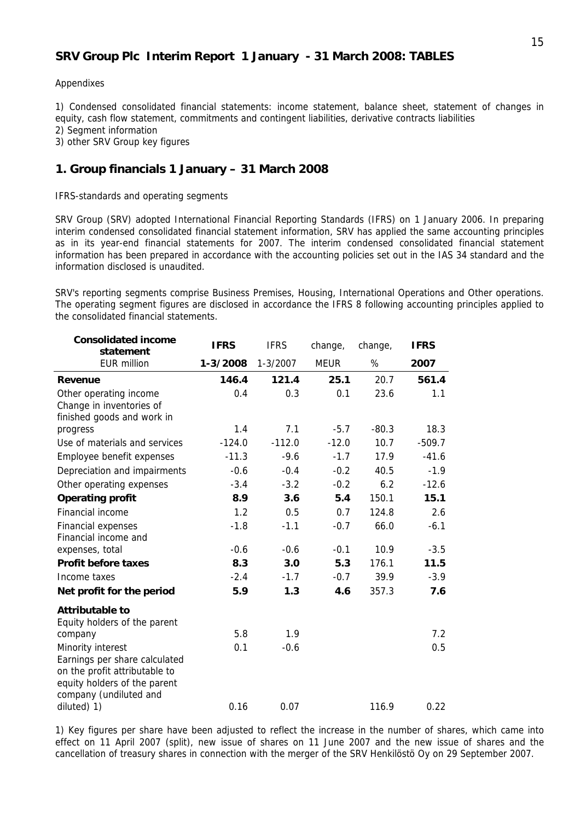#### **SRV Group Plc Interim Report 1 January - 31 March 2008: TABLES**

#### Appendixes

1) Condensed consolidated financial statements: income statement, balance sheet, statement of changes in equity, cash flow statement, commitments and contingent liabilities, derivative contracts liabilities

2) Segment information

3) other SRV Group key figures

#### **1. Group financials 1 January – 31 March 2008**

IFRS-standards and operating segments

SRV Group (SRV) adopted International Financial Reporting Standards (IFRS) on 1 January 2006. In preparing interim condensed consolidated financial statement information, SRV has applied the same accounting principles as in its year-end financial statements for 2007. The interim condensed consolidated financial statement information has been prepared in accordance with the accounting policies set out in the IAS 34 standard and the information disclosed is unaudited.

SRV's reporting segments comprise Business Premises, Housing, International Operations and Other operations. The operating segment figures are disclosed in accordance the IFRS 8 following accounting principles applied to the consolidated financial statements.

| <b>Consolidated income</b><br>statement                                                                                                       | <b>IFRS</b> | <b>IFRS</b>  | change,     | change, | <b>IFRS</b> |
|-----------------------------------------------------------------------------------------------------------------------------------------------|-------------|--------------|-------------|---------|-------------|
| <b>EUR million</b>                                                                                                                            | 1-3/2008    | $1 - 3/2007$ | <b>MEUR</b> | $\%$    | 2007        |
| <b>Revenue</b>                                                                                                                                | 146.4       | 121.4        | 25.1        | 20.7    | 561.4       |
| Other operating income<br>Change in inventories of<br>finished goods and work in                                                              | 0.4         | 0.3          | 0.1         | 23.6    | 1.1         |
| progress                                                                                                                                      | 1.4         | 7.1          | $-5.7$      | $-80.3$ | 18.3        |
| Use of materials and services                                                                                                                 | $-124.0$    | $-112.0$     | $-12.0$     | 10.7    | $-509.7$    |
| Employee benefit expenses                                                                                                                     | $-11.3$     | $-9.6$       | $-1.7$      | 17.9    | $-41.6$     |
| Depreciation and impairments                                                                                                                  | $-0.6$      | $-0.4$       | $-0.2$      | 40.5    | $-1.9$      |
| Other operating expenses                                                                                                                      | $-3.4$      | $-3.2$       | $-0.2$      | 6.2     | $-12.6$     |
| <b>Operating profit</b>                                                                                                                       | 8.9         | 3.6          | 5.4         | 150.1   | 15.1        |
| Financial income                                                                                                                              | 1.2         | 0.5          | 0.7         | 124.8   | 2.6         |
| Financial expenses<br>Financial income and                                                                                                    | $-1.8$      | $-1.1$       | $-0.7$      | 66.0    | $-6.1$      |
| expenses, total                                                                                                                               | $-0.6$      | $-0.6$       | $-0.1$      | 10.9    | $-3.5$      |
| <b>Profit before taxes</b>                                                                                                                    | 8.3         | 3.0          | 5.3         | 176.1   | 11.5        |
| Income taxes                                                                                                                                  | $-2.4$      | $-1.7$       | $-0.7$      | 39.9    | $-3.9$      |
| Net profit for the period                                                                                                                     | 5.9         | 1.3          | 4.6         | 357.3   | 7.6         |
| <b>Attributable to</b><br>Equity holders of the parent                                                                                        |             |              |             |         |             |
| company                                                                                                                                       | 5.8         | 1.9          |             |         | 7.2         |
| Minority interest<br>Earnings per share calculated<br>on the profit attributable to<br>equity holders of the parent<br>company (undiluted and | 0.1         | $-0.6$       |             |         | 0.5         |
| diluted) 1)                                                                                                                                   | 0.16        | 0.07         |             | 116.9   | 0.22        |

1) Key figures per share have been adjusted to reflect the increase in the number of shares, which came into effect on 11 April 2007 (split), new issue of shares on 11 June 2007 and the new issue of shares and the cancellation of treasury shares in connection with the merger of the SRV Henkilöstö Oy on 29 September 2007.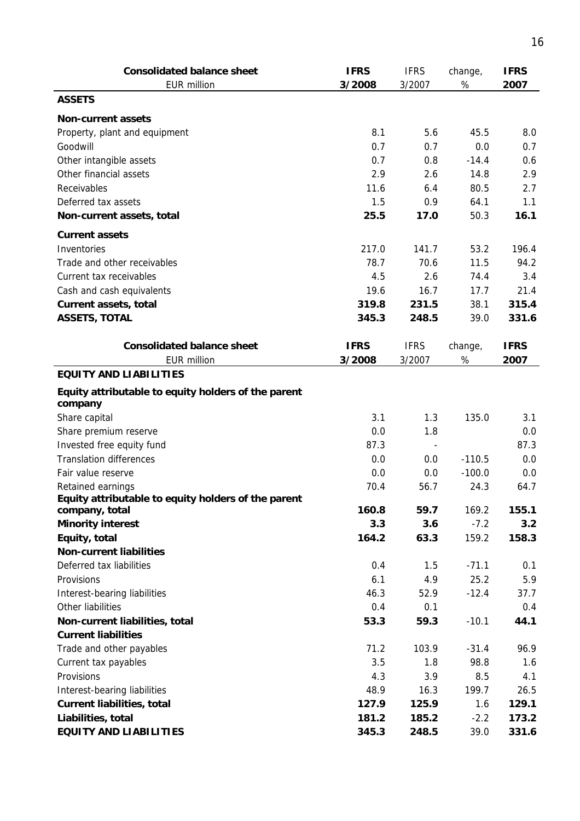| <b>Consolidated balance sheet</b><br><b>EUR million</b>        | <b>IFRS</b><br>3/2008 | <b>IFRS</b><br>3/2007 | change,<br>$\%$ | <b>IFRS</b><br>2007 |
|----------------------------------------------------------------|-----------------------|-----------------------|-----------------|---------------------|
| <b>ASSETS</b>                                                  |                       |                       |                 |                     |
|                                                                |                       |                       |                 |                     |
| <b>Non-current assets</b>                                      |                       |                       |                 |                     |
| Property, plant and equipment                                  | 8.1                   | 5.6                   | 45.5            | 8.0                 |
| Goodwill                                                       | 0.7                   | 0.7                   | 0.0             | 0.7                 |
| Other intangible assets                                        | 0.7                   | 0.8                   | $-14.4$         | 0.6                 |
| Other financial assets                                         | 2.9                   | 2.6                   | 14.8            | 2.9                 |
| Receivables                                                    | 11.6                  | 6.4                   | 80.5            | 2.7                 |
| Deferred tax assets                                            | 1.5                   | 0.9                   | 64.1            | 1.1                 |
| Non-current assets, total                                      | 25.5                  | 17.0                  | 50.3            | 16.1                |
| <b>Current assets</b>                                          |                       |                       |                 |                     |
| Inventories                                                    | 217.0                 | 141.7                 | 53.2            | 196.4               |
| Trade and other receivables                                    | 78.7                  | 70.6                  | 11.5            | 94.2                |
| Current tax receivables                                        | 4.5                   | 2.6                   | 74.4            | 3.4                 |
| Cash and cash equivalents                                      | 19.6                  | 16.7                  | 17.7            | 21.4                |
| Current assets, total                                          | 319.8                 | 231.5                 | 38.1            | 315.4               |
| <b>ASSETS, TOTAL</b>                                           | 345.3                 | 248.5                 | 39.0            | 331.6               |
|                                                                |                       |                       |                 |                     |
| <b>Consolidated balance sheet</b>                              | <b>IFRS</b>           | <b>IFRS</b>           | change,         | <b>IFRS</b>         |
| <b>EUR million</b>                                             | 3/2008                | 3/2007                | %               | 2007                |
| <b>EQUITY AND LIABILITIES</b>                                  |                       |                       |                 |                     |
| Equity attributable to equity holders of the parent<br>company |                       |                       |                 |                     |
| Share capital                                                  | 3.1                   | 1.3                   | 135.0           | 3.1                 |
| Share premium reserve                                          | 0.0                   | 1.8                   |                 | 0.0                 |
| Invested free equity fund                                      | 87.3                  |                       |                 | 87.3                |
| <b>Translation differences</b>                                 | 0.0                   | 0.0                   | $-110.5$        | 0.0                 |
| Fair value reserve                                             | 0.0                   | 0.0                   | $-100.0$        | 0.0                 |
| Retained earnings                                              | 70.4                  | 56.7                  | 24.3            | 64.7                |
| Equity attributable to equity holders of the parent            |                       |                       |                 |                     |
| company, total                                                 | 160.8                 | 59.7                  | 169.2           | 155.1               |
| <b>Minority interest</b>                                       | 3.3                   | 3.6                   | $-7.2$          | 3.2                 |
| Equity, total                                                  | 164.2                 | 63.3                  | 159.2           | 158.3               |
| <b>Non-current liabilities</b>                                 |                       |                       |                 |                     |
| Deferred tax liabilities                                       | 0.4                   | 1.5                   | $-71.1$         | 0.1                 |
| Provisions                                                     | 6.1                   | 4.9                   | 25.2            | 5.9                 |
| Interest-bearing liabilities                                   | 46.3                  | 52.9                  | $-12.4$         | 37.7                |
| Other liabilities                                              | 0.4                   | 0.1                   |                 | 0.4                 |
| Non-current liabilities, total                                 | 53.3                  | 59.3                  | $-10.1$         | 44.1                |
| <b>Current liabilities</b>                                     |                       |                       |                 |                     |
| Trade and other payables                                       | 71.2                  | 103.9                 | $-31.4$         | 96.9                |
| Current tax payables                                           | 3.5                   | 1.8                   | 98.8            | 1.6                 |
| Provisions                                                     | 4.3                   | 3.9                   | 8.5             | 4.1                 |
| Interest-bearing liabilities                                   | 48.9                  | 16.3                  | 199.7           | 26.5                |
| <b>Current liabilities, total</b>                              | 127.9                 | 125.9                 | 1.6             | 129.1               |
| Liabilities, total                                             | 181.2                 | 185.2                 | $-2.2$          | 173.2               |
| <b>EQUITY AND LIABILITIES</b>                                  | 345.3                 | 248.5                 | 39.0            | 331.6               |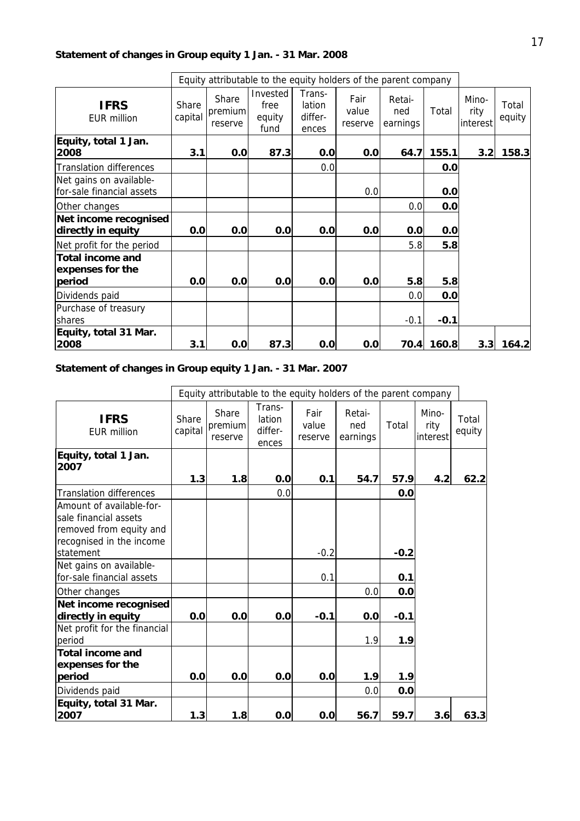## **Statement of changes in Group equity 1 Jan. - 31 Mar. 2008**

|                                                       |                  |                             | Equity attributable to the equity holders of the parent company |                                      |                          |                           |        |                           |                 |
|-------------------------------------------------------|------------------|-----------------------------|-----------------------------------------------------------------|--------------------------------------|--------------------------|---------------------------|--------|---------------------------|-----------------|
| <b>IFRS</b><br><b>EUR million</b>                     | Share<br>capital | Share<br>premium<br>reserve | Invested<br>free<br>equity<br>fund                              | Trans-<br>lation<br>differ-<br>ences | Fair<br>value<br>reserve | Retai-<br>ned<br>earnings | Total  | Mino-<br>rity<br>interest | Total<br>equity |
| Equity, total 1 Jan.<br>2008                          | 3.1              | 0.0                         | 87.3                                                            | 0.0                                  | 0.0                      | 64.7                      | 155.1  | 3.2                       | 158.3           |
| <b>Translation differences</b>                        |                  |                             |                                                                 | 0.0                                  |                          |                           | 0.0    |                           |                 |
| Net gains on available-<br>for-sale financial assets  |                  |                             |                                                                 |                                      | 0.0                      |                           | 0.0    |                           |                 |
| Other changes                                         |                  |                             |                                                                 |                                      |                          | 0.0                       | 0.0    |                           |                 |
| Net income recognised<br>directly in equity           | 0.0              | 0.0                         | 0.0                                                             | 0.0                                  | 0.0                      | 0.0                       | 0.0    |                           |                 |
| Net profit for the period                             |                  |                             |                                                                 |                                      |                          | 5.8                       | 5.8    |                           |                 |
| <b>Total income and</b><br>expenses for the<br>period | 0.0              | 0.0                         | 0.0                                                             | 0.0                                  | 0.0                      | 5.8                       | 5.8    |                           |                 |
| Dividends paid                                        |                  |                             |                                                                 |                                      |                          | 0.0                       | 0.0    |                           |                 |
| Purchase of treasury<br><b>Ishares</b>                |                  |                             |                                                                 |                                      |                          | $-0.1$                    | $-0.1$ |                           |                 |
| Equity, total 31 Mar.<br>2008                         | 3.1              | 0.0                         | 87.3                                                            | 0.0                                  | 0.0                      | 70.4                      | 160.8  | 3.3                       | 164.2           |

## **Statement of changes in Group equity 1 Jan. - 31 Mar. 2007**

|                                                                                                                       |                  |                             | Equity attributable to the equity holders of the parent company |                          |                           |        |                           |                 |
|-----------------------------------------------------------------------------------------------------------------------|------------------|-----------------------------|-----------------------------------------------------------------|--------------------------|---------------------------|--------|---------------------------|-----------------|
| <b>IFRS</b><br>FUR million                                                                                            | Share<br>capital | Share<br>premium<br>reserve | Trans-<br>lation<br>differ-<br>ences                            | Fair<br>value<br>reserve | Retai-<br>ned<br>earnings | Total  | Mino-<br>rity<br>interest | Total<br>equity |
| Equity, total 1 Jan.                                                                                                  |                  |                             |                                                                 |                          |                           |        |                           |                 |
| 2007                                                                                                                  | 1.3              | 1.8                         | 0.0                                                             | 0.1                      | 54.7                      | 57.9   | 4.2                       | 62.2            |
| <b>Translation differences</b>                                                                                        |                  |                             | 0.0                                                             |                          |                           | 0.0    |                           |                 |
| Amount of available-for-<br>sale financial assets<br>removed from equity and<br>recognised in the income<br>statement |                  |                             |                                                                 | $-0.2$                   |                           | $-0.2$ |                           |                 |
| Net gains on available-                                                                                               |                  |                             |                                                                 |                          |                           |        |                           |                 |
| for-sale financial assets                                                                                             |                  |                             |                                                                 | 0.1                      |                           | 0.1    |                           |                 |
| Other changes                                                                                                         |                  |                             |                                                                 |                          | 0.0                       | 0.0    |                           |                 |
| Net income recognised<br>directly in equity                                                                           | 0.0              | 0.0                         | 0.0                                                             | $-0.1$                   | 0.0                       | $-0.1$ |                           |                 |
| Net profit for the financial<br>period                                                                                |                  |                             |                                                                 |                          | 1.9                       | 1.9    |                           |                 |
| <b>Total income and</b><br>expenses for the                                                                           |                  |                             |                                                                 |                          |                           |        |                           |                 |
| period                                                                                                                | 0.0              | 0.0                         | 0.0                                                             | 0.0                      | 1.9                       | 1.9    |                           |                 |
| Dividends paid                                                                                                        |                  |                             |                                                                 |                          | 0.0                       | 0.0    |                           |                 |
| Equity, total 31 Mar.<br>2007                                                                                         | 1.3              | 1.8                         | 0.0                                                             | 0.0                      | 56.7                      | 59.7   | 3.6                       | 63.3            |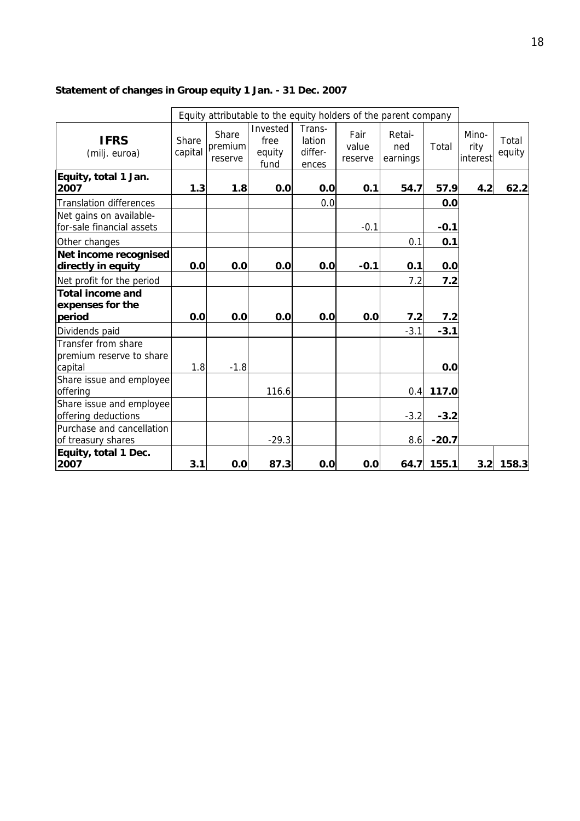## **Statement of changes in Group equity 1 Jan. - 31 Dec. 2007**

|                                                            |                  |                             | Equity attributable to the equity holders of the parent company |                                      |                          |                           |         |                           |                 |
|------------------------------------------------------------|------------------|-----------------------------|-----------------------------------------------------------------|--------------------------------------|--------------------------|---------------------------|---------|---------------------------|-----------------|
| <b>IFRS</b><br>(milj. euroa)                               | Share<br>capital | Share<br>premium<br>reserve | Invested<br>free<br>equity<br>fund                              | Trans-<br>lation<br>differ-<br>ences | Fair<br>value<br>reserve | Retai-<br>ned<br>earnings | Total   | Mino-<br>rity<br>interest | Total<br>equity |
| Equity, total 1 Jan.<br>2007                               | 1.3              | 1.8                         | 0.0                                                             | 0.0                                  | 0.1                      | 54.7                      | 57.9    | 4.2                       | 62.2            |
| <b>Translation differences</b>                             |                  |                             |                                                                 | 0.0                                  |                          |                           | 0.0     |                           |                 |
| Net gains on available-<br>for-sale financial assets       |                  |                             |                                                                 |                                      | $-0.1$                   |                           | $-0.1$  |                           |                 |
| Other changes                                              |                  |                             |                                                                 |                                      |                          | 0.1                       | 0.1     |                           |                 |
| Net income recognised<br>directly in equity                | 0.0              | 0.0                         | 0.0                                                             | 0.0                                  | $-0.1$                   | 0.1                       | 0.0     |                           |                 |
| Net profit for the period                                  |                  |                             |                                                                 |                                      |                          | 7.2                       | 7.2     |                           |                 |
| <b>Total income and</b><br>expenses for the                |                  |                             |                                                                 |                                      |                          |                           |         |                           |                 |
| period                                                     | 0.0              | 0.0                         | 0.0                                                             | 0.0                                  | 0.0                      | 7.2                       | 7.2     |                           |                 |
| Dividends paid                                             |                  |                             |                                                                 |                                      |                          | $-3.1$                    | $-3.1$  |                           |                 |
| Transfer from share<br>premium reserve to share<br>capital | 1.8              | $-1.8$                      |                                                                 |                                      |                          |                           | 0.0     |                           |                 |
| Share issue and employee<br>offering                       |                  |                             | 116.6                                                           |                                      |                          | 0.4                       | 117.0   |                           |                 |
| Share issue and employee<br>offering deductions            |                  |                             |                                                                 |                                      |                          | $-3.2$                    | $-3.2$  |                           |                 |
| Purchase and cancellation<br>of treasury shares            |                  |                             | $-29.3$                                                         |                                      |                          | 8.6                       | $-20.7$ |                           |                 |
| Equity, total 1 Dec.<br>2007                               | 3.1              | 0.0                         | 87.3                                                            | 0.0                                  | 0.0                      | 64.7                      | 155.1   |                           | $3.2$ 158.3     |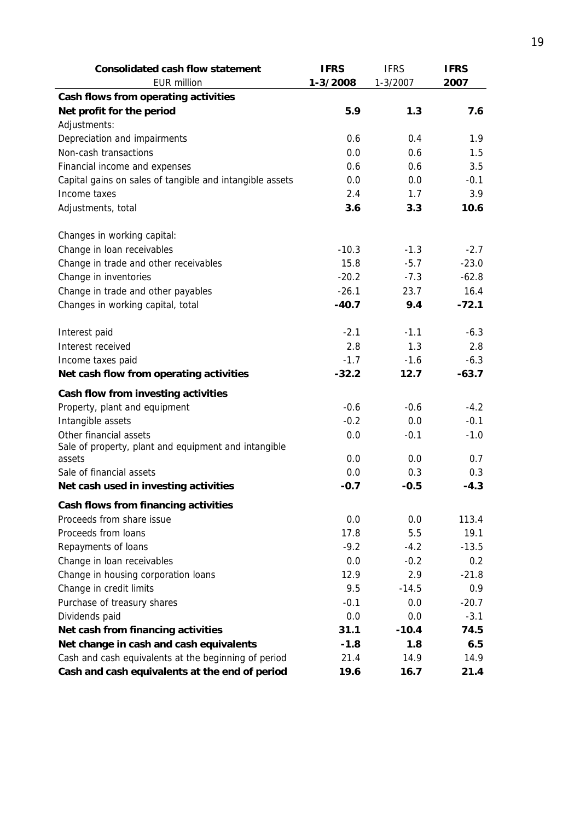| <b>Consolidated cash flow statement</b>                  | <b>IFRS</b> | <b>IFRS</b> | <b>IFRS</b> |
|----------------------------------------------------------|-------------|-------------|-------------|
| <b>EUR million</b>                                       | 1-3/2008    | 1-3/2007    | 2007        |
| Cash flows from operating activities                     |             |             |             |
| Net profit for the period                                | 5.9         | 1.3         | 7.6         |
| Adjustments:                                             |             |             |             |
| Depreciation and impairments                             | 0.6         | 0.4         | 1.9         |
| Non-cash transactions                                    | 0.0         | 0.6         | 1.5         |
| Financial income and expenses                            | 0.6         | 0.6         | 3.5         |
| Capital gains on sales of tangible and intangible assets | 0.0         | 0.0         | $-0.1$      |
| Income taxes                                             | 2.4         | 1.7         | 3.9         |
| Adjustments, total                                       | 3.6         | 3.3         | 10.6        |
| Changes in working capital:                              |             |             |             |
| Change in loan receivables                               | $-10.3$     | $-1.3$      | $-2.7$      |
| Change in trade and other receivables                    | 15.8        | $-5.7$      | $-23.0$     |
| Change in inventories                                    | $-20.2$     | $-7.3$      | $-62.8$     |
| Change in trade and other payables                       | $-26.1$     | 23.7        | 16.4        |
| Changes in working capital, total                        | $-40.7$     | 9.4         | $-72.1$     |
| Interest paid                                            | $-2.1$      | $-1.1$      | $-6.3$      |
| Interest received                                        | 2.8         | 1.3         | 2.8         |
| Income taxes paid                                        | $-1.7$      | $-1.6$      | $-6.3$      |
| Net cash flow from operating activities                  | $-32.2$     | 12.7        | $-63.7$     |
| Cash flow from investing activities                      |             |             |             |
| Property, plant and equipment                            | $-0.6$      | $-0.6$      | $-4.2$      |
| Intangible assets                                        | $-0.2$      | 0.0         | $-0.1$      |
| Other financial assets                                   | 0.0         | $-0.1$      | $-1.0$      |
| Sale of property, plant and equipment and intangible     |             |             |             |
| assets                                                   | 0.0         | 0.0         | 0.7         |
| Sale of financial assets                                 | 0.0         | 0.3         | 0.3         |
| Net cash used in investing activities                    | $-0.7$      | $-0.5$      | $-4.3$      |
| Cash flows from financing activities                     |             |             |             |
| Proceeds from share issue                                | 0.0         | 0.0         | 113.4       |
| Proceeds from loans                                      | 17.8        | 5.5         | 19.1        |
| Repayments of loans                                      | $-9.2$      | $-4.2$      | $-13.5$     |
| Change in loan receivables                               | 0.0         | $-0.2$      | 0.2         |
| Change in housing corporation loans                      | 12.9        | 2.9         | $-21.8$     |
| Change in credit limits                                  | 9.5         | $-14.5$     | 0.9         |
| Purchase of treasury shares                              | $-0.1$      | 0.0         | $-20.7$     |
| Dividends paid                                           | 0.0         | 0.0         | $-3.1$      |
| Net cash from financing activities                       | 31.1        | $-10.4$     | 74.5        |
| Net change in cash and cash equivalents                  | $-1.8$      | 1.8         | 6.5         |
| Cash and cash equivalents at the beginning of period     | 21.4        | 14.9        | 14.9        |
| Cash and cash equivalents at the end of period           | 19.6        | 16.7        | 21.4        |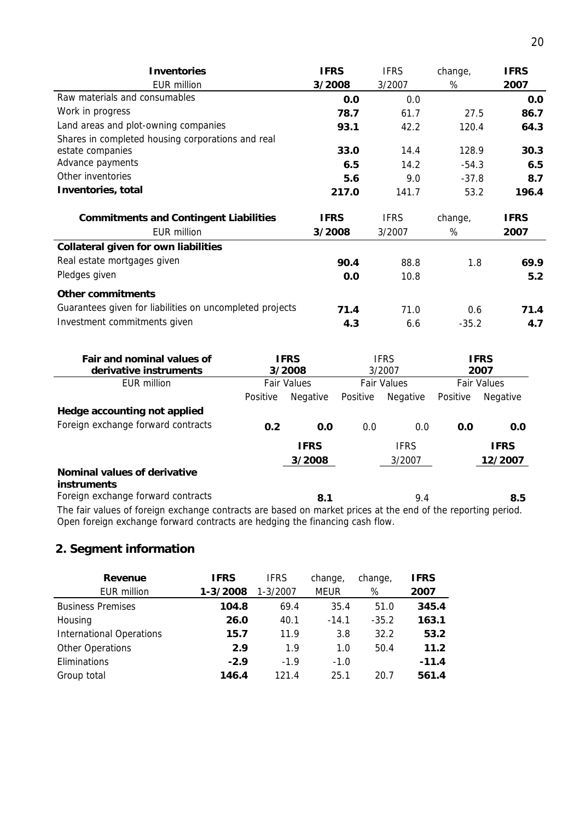| <b>Inventories</b>                                       | <b>IFRS</b> | <b>IFRS</b> | change, | <b>IFRS</b> |
|----------------------------------------------------------|-------------|-------------|---------|-------------|
| <b>EUR million</b>                                       | 3/2008      | 3/2007      | %       | 2007        |
| Raw materials and consumables                            | 0.0         | 0.0         |         | 0.0         |
| Work in progress                                         | 78.7        | 61.7        | 27.5    | 86.7        |
| Land areas and plot-owning companies                     | 93.1        | 42.2        | 120.4   | 64.3        |
| Shares in completed housing corporations and real        |             |             |         |             |
| estate companies                                         | 33.0        | 14.4        | 128.9   | 30.3        |
| Advance payments                                         | 6.5         | 14.2        | $-54.3$ | 6.5         |
| Other inventories                                        | 5.6         | 9.0         | $-37.8$ | 8.7         |
| Inventories, total                                       | 217.0       | 141.7       | 53.2    | 196.4       |
|                                                          |             |             |         |             |
| <b>Commitments and Contingent Liabilities</b>            | <b>IFRS</b> | <b>IFRS</b> | change, | <b>IFRS</b> |
| <b>EUR million</b>                                       | 3/2008      | 3/2007      | %       | 2007        |
| <b>Collateral given for own liabilities</b>              |             |             |         |             |
| Real estate mortgages given                              | 90.4        | 88.8        | 1.8     | 69.9        |
| Pledges given                                            | 0.0         | 10.8        |         | 5.2         |
| <b>Other commitments</b>                                 |             |             |         |             |
| Guarantees given for liabilities on uncompleted projects | 71.4        | 71.0        | 0.6     | 71.4        |

| Fair and nominal values of<br>derivative instruments                                                         |          | <b>IFRS</b><br><b>IFRS</b><br>3/2008<br>3/2007 |                    |             | <b>IFRS</b><br>2007 |                 |
|--------------------------------------------------------------------------------------------------------------|----------|------------------------------------------------|--------------------|-------------|---------------------|-----------------|
| EUR million                                                                                                  |          | <b>Fair Values</b>                             | <b>Fair Values</b> |             | <b>Fair Values</b>  |                 |
|                                                                                                              | Positive | Negative                                       | Positive           | Negative    | Positive            | <b>Negative</b> |
| Hedge accounting not applied                                                                                 |          |                                                |                    |             |                     |                 |
| Foreign exchange forward contracts                                                                           | 0.2      | 0.0                                            | 0.0                | 0.0         | 0.0                 | 0.0             |
|                                                                                                              |          | <b>IFRS</b>                                    |                    | <b>IFRS</b> |                     | <b>IFRS</b>     |
|                                                                                                              |          | 3/2008                                         |                    | 3/2007      |                     | 12/2007         |
| Nominal values of derivative<br>instruments                                                                  |          |                                                |                    |             |                     |                 |
| Foreign exchange forward contracts                                                                           |          | 8.1                                            |                    | 9.4         |                     | 8.5             |
| The fair values of foreign exchange contracts are based on market prices at the end of the reporting period. |          |                                                |                    |             |                     |                 |

The fair values of foreign exchange contracts are based on market prices at the end of the reporting period. Open foreign exchange forward contracts are hedging the financing cash flow.

## **2. Segment information**

| Revenue                         | <b>IFRS</b> | <b>IFRS</b>  | change,     | change, | <b>IFRS</b> |
|---------------------------------|-------------|--------------|-------------|---------|-------------|
| EUR million                     | 1-3/2008    | $1 - 3/2007$ | <b>MEUR</b> | %       | 2007        |
| <b>Business Premises</b>        | 104.8       | 69.4         | 35.4        | 51.0    | 345.4       |
| Housing                         | 26.0        | 40.1         | $-14.1$     | $-35.2$ | 163.1       |
| <b>International Operations</b> | 15.7        | 11.9         | 3.8         | 32.2    | 53.2        |
| Other Operations                | 2.9         | 1.9          | 1.0         | 50.4    | 11.2        |
| Eliminations                    | $-2.9$      | $-1.9$       | $-1.0$      |         | $-11.4$     |
| Group total                     | 146.4       | 121.4        | 25.1        | 20.7    | 561.4       |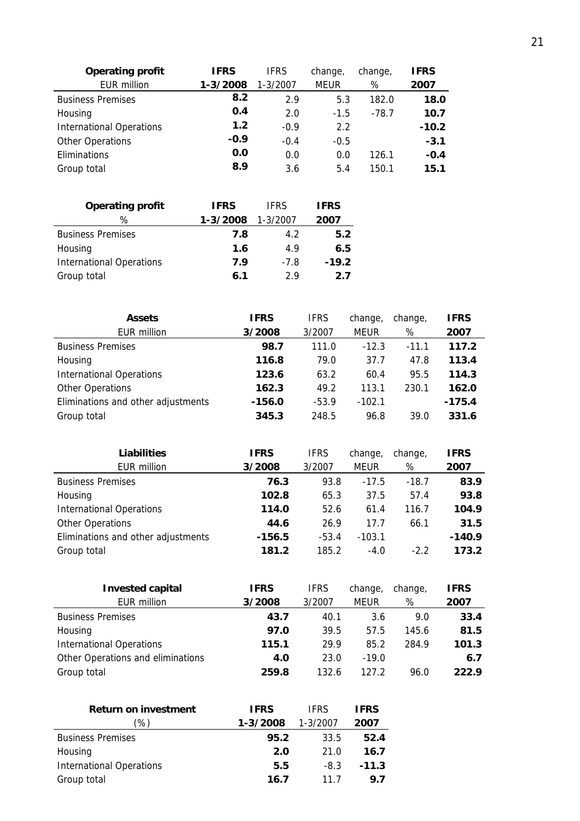| <b>Operating profit</b>         | <b>IFRS</b> | <b>IFRS</b> | change,     | change, | <b>IFRS</b> |
|---------------------------------|-------------|-------------|-------------|---------|-------------|
| <b>EUR million</b>              | 1-3/2008    | 1-3/2007    | <b>MEUR</b> | %       | 2007        |
| <b>Business Premises</b>        | 8.2         | 2.9         | 5.3         | 182.0   | 18.0        |
| Housing                         | 0.4         | 2.0         | $-1.5$      | $-78.7$ | 10.7        |
| <b>International Operations</b> | 1.2         | $-0.9$      | 2.2         |         | $-10.2$     |
| <b>Other Operations</b>         | $-0.9$      | $-0.4$      | $-0.5$      |         | $-3.1$      |
| Eliminations                    | 0.0         | 0.0         | 0.0         | 126.1   | $-0.4$      |
| Group total                     | 8.9         | 3.6         | 5.4         | 150.1   | 15.1        |

| <b>IFRS</b> | <b>IFRS</b>  | <b>IFRS</b> |
|-------------|--------------|-------------|
| 1-3/2008    | $1 - 3/2007$ | 2007        |
| 7.8         | 4.2          | 5.2         |
| 1.6         | 4.9          | 6.5         |
| 7.9         | $-7.8$       | $-19.2$     |
| 6.1         | 29           | 2.7         |
|             |              |             |

| <b>Assets</b>                      | <b>IFRS</b> | <b>IFRS</b> | change,  | change, | <b>IFRS</b> |
|------------------------------------|-------------|-------------|----------|---------|-------------|
| EUR million                        | 3/2008      | 3/2007      | MEUR     | %       | 2007        |
| <b>Business Premises</b>           | 98.7        | 111.0       | $-12.3$  | $-11.1$ | 117.2       |
| Housing                            | 116.8       | 79.0        | 37.7     | 47.8    | 113.4       |
| <b>International Operations</b>    | 123.6       | 63.2        | 60.4     | 95.5    | 114.3       |
| <b>Other Operations</b>            | 162.3       | 49.2        | 113.1    | 230.1   | 162.0       |
| Eliminations and other adjustments | $-156.0$    | $-53.9$     | $-102.1$ |         | $-175.4$    |
| Group total                        | 345.3       | 248.5       | 96.8     | 39.0    | 331.6       |

| <b>Liabilities</b>                 | <b>IFRS</b> | <b>IFRS</b> | change,     | change, | <b>IFRS</b> |
|------------------------------------|-------------|-------------|-------------|---------|-------------|
| EUR million                        | 3/2008      | 3/2007      | <b>MEUR</b> | %       | 2007        |
| <b>Business Premises</b>           | 76.3        | 93.8        | $-17.5$     | $-18.7$ | 83.9        |
| Housing                            | 102.8       | 65.3        | 37.5        | 57.4    | 93.8        |
| <b>International Operations</b>    | 114.0       | 52.6        | 61.4        | 116.7   | 104.9       |
| <b>Other Operations</b>            | 44.6        | 26.9        | 17.7        | 66.1    | 31.5        |
| Eliminations and other adjustments | $-156.5$    | $-53.4$     | $-103.1$    |         | $-140.9$    |
| Group total                        | 181.2       | 185.2       | $-4.0$      | $-2.2$  | 173.2       |

| <b>Invested capital</b>           | <b>IFRS</b> | <b>IFRS</b> | change, | change, | <b>IFRS</b> |
|-----------------------------------|-------------|-------------|---------|---------|-------------|
| EUR million                       | 3/2008      | 3/2007      | MEUR    | %       | 2007        |
| <b>Business Premises</b>          | 43.7        | 40.1        | 3.6     | 9.0     | 33.4        |
| Housing                           | 97.0        | 39.5        | 57.5    | 145.6   | 81.5        |
| <b>International Operations</b>   | 115.1       | 29.9        | 85.2    | 284.9   | 101.3       |
| Other Operations and eliminations | 4.0         | 23.0        | $-19.0$ |         | 6.7         |
| Group total                       | 259.8       | 132.6       | 127.2   | 96.0    | 222.9       |

| <b>Return on investment</b>     | <b>IFRS</b> | <b>IFRS</b> | <b>IFRS</b> |
|---------------------------------|-------------|-------------|-------------|
| '%)                             | 1-3/2008    | 1-3/2007    | 2007        |
| <b>Business Premises</b>        | 95.2        | 33.5        | 52.4        |
| Housing                         | 2.0         | 21.0        | 16.7        |
| <b>International Operations</b> | 5.5         | $-8.3$      | $-11.3$     |
| Group total                     | 16.7        | 11 7        | 9.7         |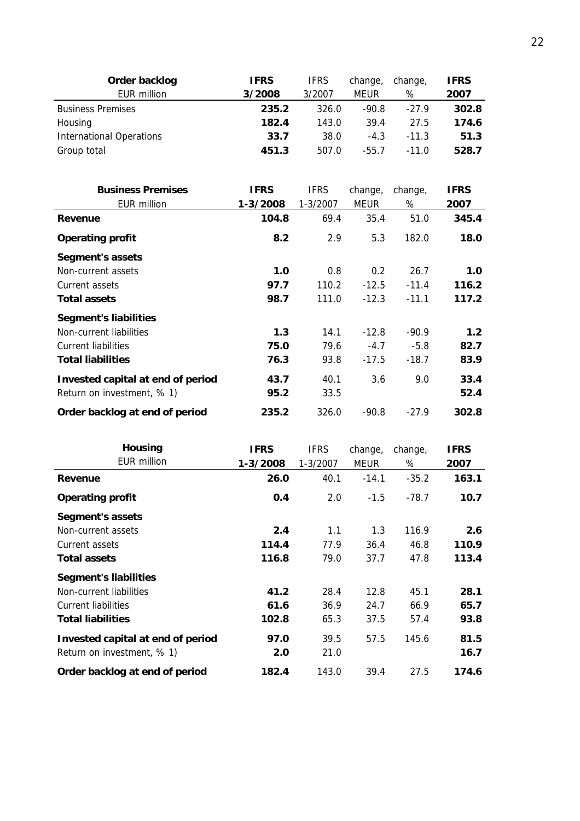| Order backlog                   | <b>IFRS</b> | <b>IFRS</b> | change, | change, | <b>IFRS</b> |
|---------------------------------|-------------|-------------|---------|---------|-------------|
| EUR million                     | 3/2008      | 3/2007      | MEUR    | %       | 2007        |
| <b>Business Premises</b>        | 235.2       | 326.0       | $-90.8$ | $-27.9$ | 302.8       |
| Housing                         | 182.4       | 143.0       | 39.4    | 27.5    | 174.6       |
| <b>International Operations</b> | 33.7        | 38.0        | $-4.3$  | $-11.3$ | 51.3        |
| Group total                     | 451.3       | 507.0       | $-55.7$ | $-11.0$ | 528.7       |

| <b>Business Premises</b>          | <b>IFRS</b> | <b>IFRS</b> | change,       | change, | <b>IFRS</b> |
|-----------------------------------|-------------|-------------|---------------|---------|-------------|
| EUR million                       | 1-3/2008    | 1-3/2007    | MEUR          | %       | 2007        |
| Revenue                           | 104.8       | 69.4        | 35.4          | 51.0    | 345.4       |
| <b>Operating profit</b>           | 8.2         | 2.9         | 5.3           | 182.0   | 18.0        |
| Segment's assets                  |             |             |               |         |             |
| Non-current assets                | 1.0         | 0.8         | $0.2^{\circ}$ | 26.7    | 1.0         |
| Current assets                    | 97.7        | 110.2       | $-12.5$       | $-11.4$ | 116.2       |
| <b>Total assets</b>               | 98.7        | 111.0       | $-12.3$       | $-11.1$ | 117.2       |
| <b>Segment's liabilities</b>      |             |             |               |         |             |
| Non-current liabilities           | 1.3         | 14.1        | $-12.8$       | $-90.9$ | 1.2         |
| <b>Current liabilities</b>        | 75.0        | 79.6        | $-4.7$        | $-5.8$  | 82.7        |
| <b>Total liabilities</b>          | 76.3        | 93.8        | $-17.5$       | $-18.7$ | 83.9        |
| Invested capital at end of period | 43.7        | 40.1        | 3.6           | 9.0     | 33.4        |
| Return on investment, % 1)        | 95.2        | 33.5        |               |         | 52.4        |
| Order backlog at end of period    | 235.2       | 326.0       | $-90.8$       | $-27.9$ | 302.8       |

| <b>Housing</b>                    | <b>IFRS</b> | <b>IFRS</b> | change, | change, | <b>IFRS</b> |
|-----------------------------------|-------------|-------------|---------|---------|-------------|
| <b>EUR million</b>                | 1-3/2008    | 1-3/2007    | MEUR    | %       | 2007        |
| Revenue                           | 26.0        | 40.1        | $-14.1$ | $-35.2$ | 163.1       |
| <b>Operating profit</b>           | 0.4         | 2.0         | $-1.5$  | $-78.7$ | 10.7        |
| Segment's assets                  |             |             |         |         |             |
| Non-current assets                | 2.4         | 1.1         | 1.3     | 116.9   | 2.6         |
| Current assets                    | 114.4       | 77.9        | 36.4    | 46.8    | 110.9       |
| <b>Total assets</b>               | 116.8       | 79.0        | 37.7    | 47.8    | 113.4       |
| <b>Segment's liabilities</b>      |             |             |         |         |             |
| Non-current liabilities           | 41.2        | 28.4        | 12.8    | 45.1    | 28.1        |
| Current liabilities               | 61.6        | 36.9        | 24.7    | 66.9    | 65.7        |
| <b>Total liabilities</b>          | 102.8       | 65.3        | 37.5    | 57.4    | 93.8        |
| Invested capital at end of period | 97.0        | 39.5        | 57.5    | 145.6   | 81.5        |
| Return on investment, % 1)        | 2.0         | 21.0        |         |         | 16.7        |
| Order backlog at end of period    | 182.4       | 143.0       | 39.4    | 27.5    | 174.6       |